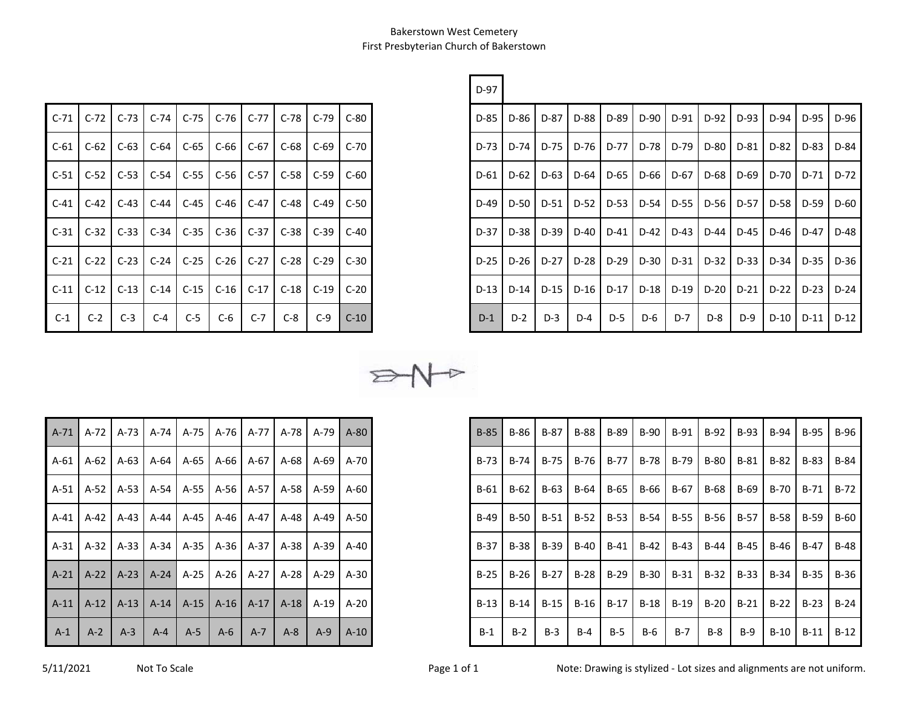r.

| $C-71$ |        |                      |        |               | C-72   C-73   C-74   C-75   C-76   C-77   C-78 |                      |        | $C-79$ | $C-80$ |
|--------|--------|----------------------|--------|---------------|------------------------------------------------|----------------------|--------|--------|--------|
| $C-61$ | $C-62$ | $C-63$               | $C-64$ | $C-65$        | C-66                                           | $C-67$               | $C-68$ | $C-69$ | $C-70$ |
| $C-51$ | $C-52$ | $C-53$               |        | $C-54$ $C-55$ | $C-56$ $C-57$ $C-58$                           |                      |        | $C-59$ | $C-60$ |
| $C-41$ | $C-42$ | $C-43$ $C-44$ $C-45$ |        |               | $C-46$ $C-47$ $C-48$                           |                      |        | $C-49$ | $C-50$ |
| $C-31$ | $C-32$ | $C-33$               | $C-34$ | $C-35$        |                                                | $C-36$ $C-37$ $C-38$ |        | $C-39$ | $C-40$ |
| $C-21$ | $C-22$ | $C-23$ $C-24$ $C-25$ |        |               | $C-26$ $C-27$ $C-28$                           |                      |        | $C-29$ | $C-30$ |
| $C-11$ | $C-12$ | $C-13$               | $C-14$ | $C-15$        | $C-16$                                         | $C-17$               | $C-18$ | $C-19$ | $C-20$ |
| $C-1$  | $C-2$  | $C-3$                | $C-4$  | $C-5$         | C-6                                            | $C-7$                | $C-8$  | $C-9$  | $C-10$ |

|        |        |                             |        |               |                                    |               |       |                              |        | D-97   |                                                                                   |               |       |               |       |                                      |      |       |                      |        |
|--------|--------|-----------------------------|--------|---------------|------------------------------------|---------------|-------|------------------------------|--------|--------|-----------------------------------------------------------------------------------|---------------|-------|---------------|-------|--------------------------------------|------|-------|----------------------|--------|
| C-71 l |        | $C-72$ $C-73$               | $C-74$ | $C-75$        |                                    | $C-76$ $C-77$ |       | $C-78$ $C-79$ $\blacksquare$ | $C-80$ | $D-85$ |                                                                                   | $D-86$ $D-87$ | D-88  | D-89          | D-90  | $D-91$                               | D-92 |       | D-93 D-94 D-95       | $D-96$ |
| C-61   | $C-62$ | $C-63$                      | $C-64$ | $C-65$        | $C-66$ $C-67$                      |               |       | C-68   C-69   C-70           |        |        | D-73   D-74   D-75   D-76   D-77   D-78   D-79   D-80   D-81   D-82   D-83   D-84 |               |       |               |       |                                      |      |       |                      |        |
| C-51 l |        | $C-52$   C-53   C-54   C-55 |        |               | C-56 C-57                          |               |       | C-58 C-59 C-60               |        |        | D-61   D-62   D-63   D-64   D-65   D-66   D-67   D-68   D-69   D-70   D-71   D-72 |               |       |               |       |                                      |      |       |                      |        |
| C-41 l | $C-42$ | $C-43$                      | $C-44$ | $C-45$        |                                    | $C-46$ $C-47$ |       | C-48   C-49   C-50           |        |        | D-49   D-50   D-51                                                                |               |       | D-52 D-53 I   |       | D-54 D-55 D-56 D-57 D-58 D-59 D-60   |      |       |                      |        |
| C-31 l | $C-32$ | $C-33$                      |        | $C-34$ $C-35$ |                                    | $C-36$ $C-37$ |       | $C-38$ $C-39$ $C-40$         |        | $D-37$ |                                                                                   | $D-38$ $D-39$ |       |               |       | D-40 D-41 D-42 D-43 D-44 LD-44       |      |       | $D-45$   D-46   D-47 | $D-48$ |
| C-21 l | $C-22$ | $C-23$                      | $C-24$ | $C-25$        | $C-26$                             | $C-27$        |       | $C-28$ $C-29$ $C-30$         |        | $D-25$ |                                                                                   | $D-26$ $D-27$ |       | $D-28$ $D-29$ |       | D-30 D-31 D-32 D-33 D-34 D-35 D-36 D |      |       |                      |        |
| C-11 l | $C-12$ | $C-13$                      |        | $C-14$ $C-15$ | $C-16$ $C-17$ $C-18$ $C-19$ $C-20$ |               |       |                              |        |        | D-13   D-14   D-15   D-16   D-17   D-18   D-19   D-20   D-21   D-22   D-23   D-24 |               |       |               |       |                                      |      |       |                      |        |
| $C-1$  | $C-2$  | $C-3$                       | $C-4$  | $C-5$         | $C-6$                              | $C-7$         | $C-8$ | $C-9$                        | $C-10$ | $D-1$  | $D-2$                                                                             | $D-3$         | $D-4$ | $D-5$         | $D-6$ | $D-7$                                | D-8  | $D-9$ | D-10 D-11            | $D-12$ |

 $P + P$ 

| $A-71$ | $A-72$ | $A-73$ | $A-74$  | $A-75$ | $A-76$ | A-77   | $A-78$ | A-79   | $A-80$ |
|--------|--------|--------|---------|--------|--------|--------|--------|--------|--------|
| A-61   | $A-62$ | $A-63$ | $A-64$  | A-65   | $A-66$ | A-67   | $A-68$ | A-69   | A-70   |
| A-51   | $A-52$ | $A-53$ | $A-54$  | $A-55$ | $A-56$ | $A-57$ | $A-58$ | $A-59$ | $A-60$ |
| $A-41$ | $A-42$ | $A-43$ | $A-44$  | $A-45$ | $A-46$ | A-47   | $A-48$ | $A-49$ | $A-50$ |
| $A-31$ | $A-32$ | $A-33$ | $A-34$  | $A-35$ | $A-36$ | $A-37$ | $A-38$ | $A-39$ | $A-40$ |
| $A-21$ | $A-22$ | $A-23$ | $A-24$  | $A-25$ | $A-26$ | A-27   | $A-28$ | $A-29$ | $A-30$ |
| $A-11$ | $A-12$ | $A-13$ | $A-14$  | $A-15$ | $A-16$ | $A-17$ | $A-18$ | $A-19$ | $A-20$ |
| $A-1$  | $A-2$  | $A-3$  | $A - 4$ | $A-5$  | A-6    | $A-7$  | $A-8$  | $A-9$  | $A-10$ |

|       |       | A-71   A-72   A-73   A-74   A-75   A-76   A-77   A-78   A-79   A-80 |       |       |       |       |         |       |        |
|-------|-------|---------------------------------------------------------------------|-------|-------|-------|-------|---------|-------|--------|
|       |       | A-61   A-62   A-63   A-64   A-65   A-66   A-67   A-68   A-69   A-70 |       |       |       |       |         |       |        |
|       |       | A-51   A-52   A-53   A-54   A-55   A-56   A-57   A-58   A-59   A-60 |       |       |       |       |         |       |        |
|       |       | A-41   A-42   A-43   A-44   A-45   A-46   A-47   A-48   A-49   A-50 |       |       |       |       |         |       |        |
|       |       | A-31   A-32   A-33   A-34   A-35   A-36   A-37   A-38   A-39   A-40 |       |       |       |       |         |       |        |
|       |       | A-21   A-22   A-23   A-24   A-25   A-26   A-27   A-28   A-29   A-30 |       |       |       |       |         |       |        |
|       |       | A-11   A-12   A-13   A-14   A-15   A-16   A-17   A-18   A-19   A-20 |       |       |       |       |         |       |        |
| $A-1$ | $A-2$ | $A-3$                                                               | $A-4$ | $A-5$ | $A-6$ | $A-7$ | $A - 8$ | $A-9$ | $A-10$ |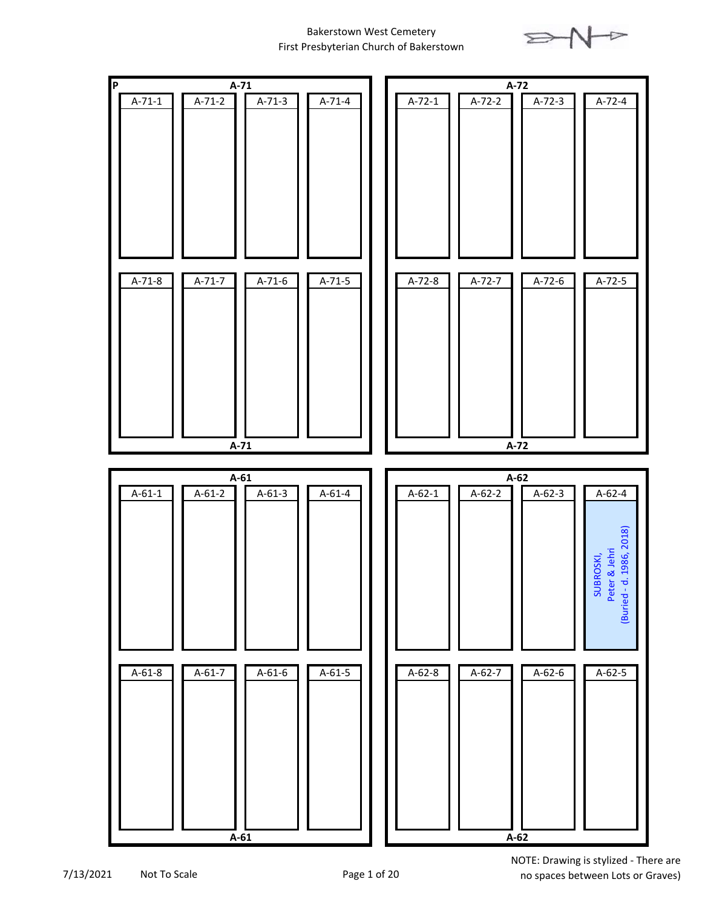



7/13/2021 Not To Scale Page 1 of 20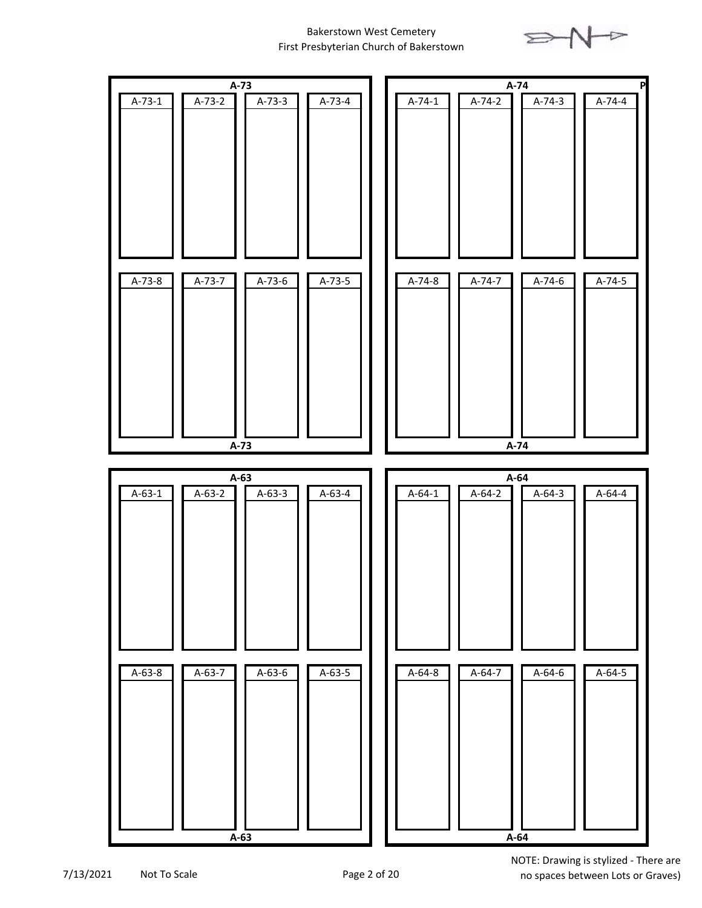



7/13/2021 Not To Scale Page 2 of 20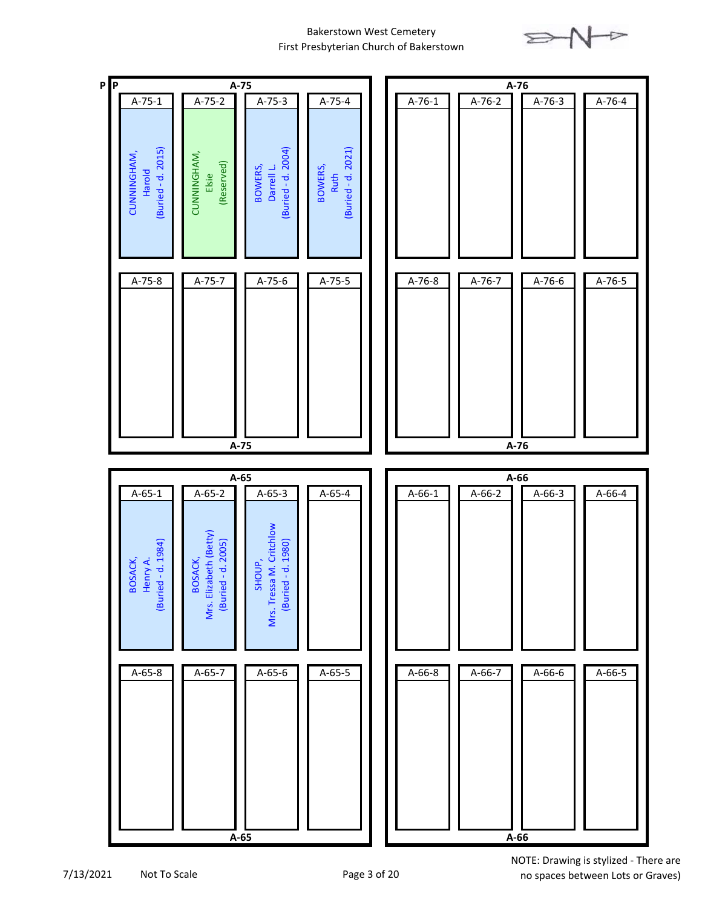



7/13/2021 Not To Scale Page 3 of 20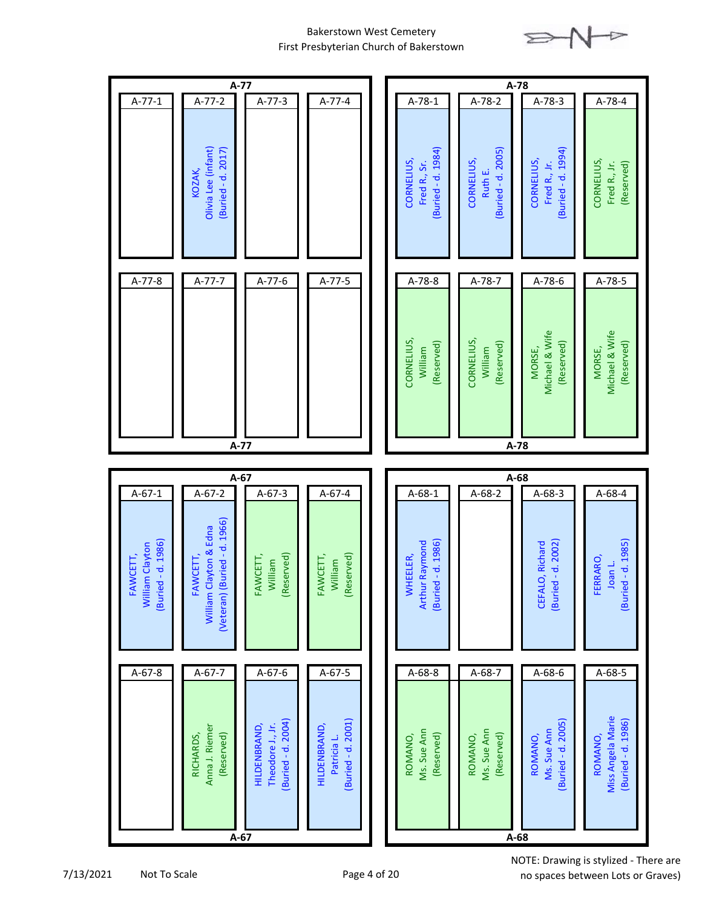

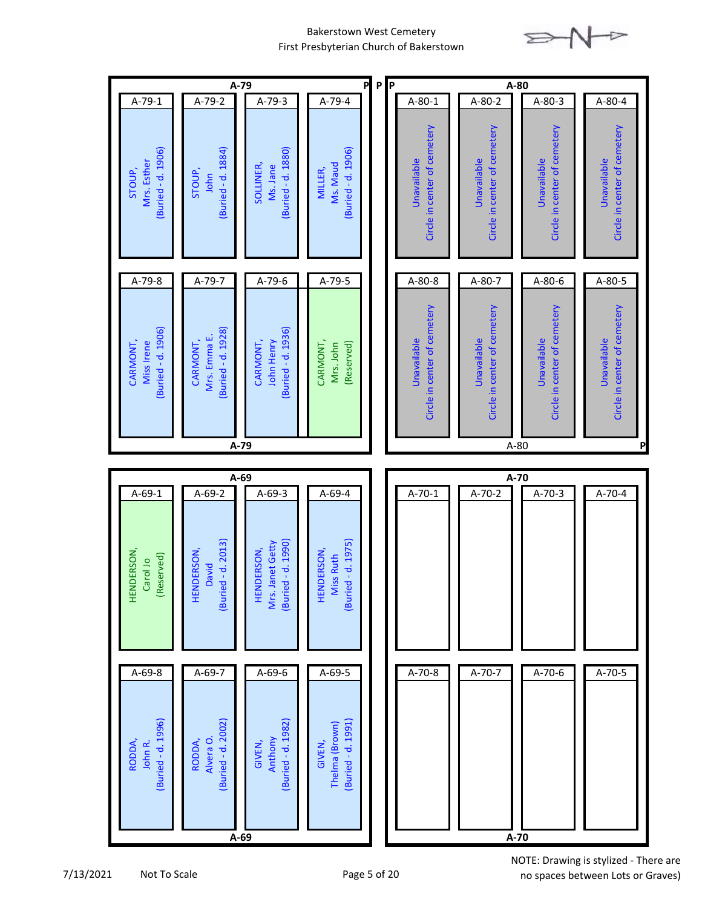

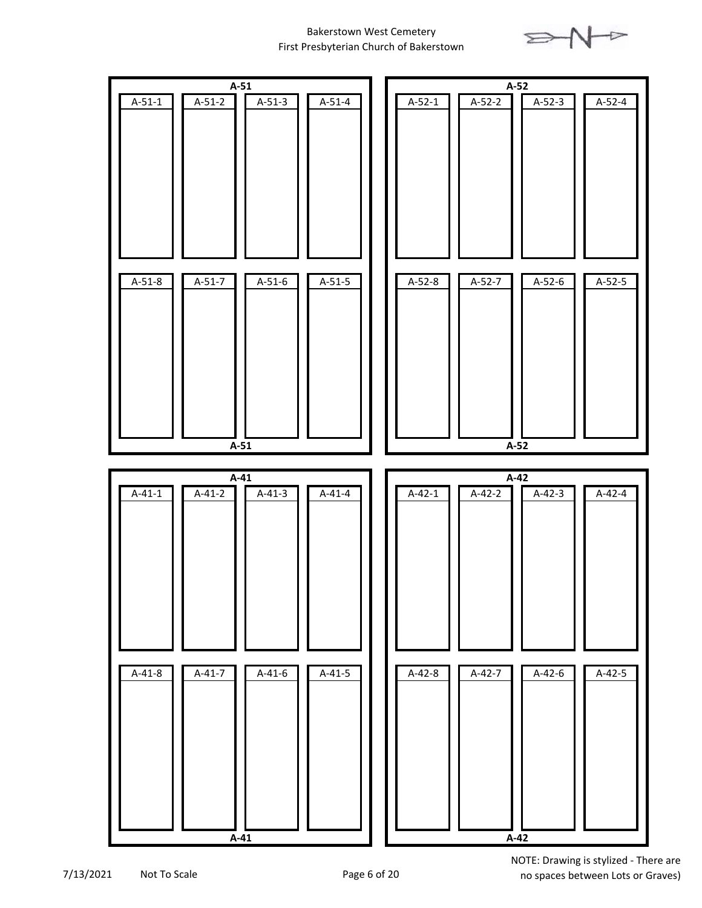



7/13/2021 Not To Scale Page 6 of 20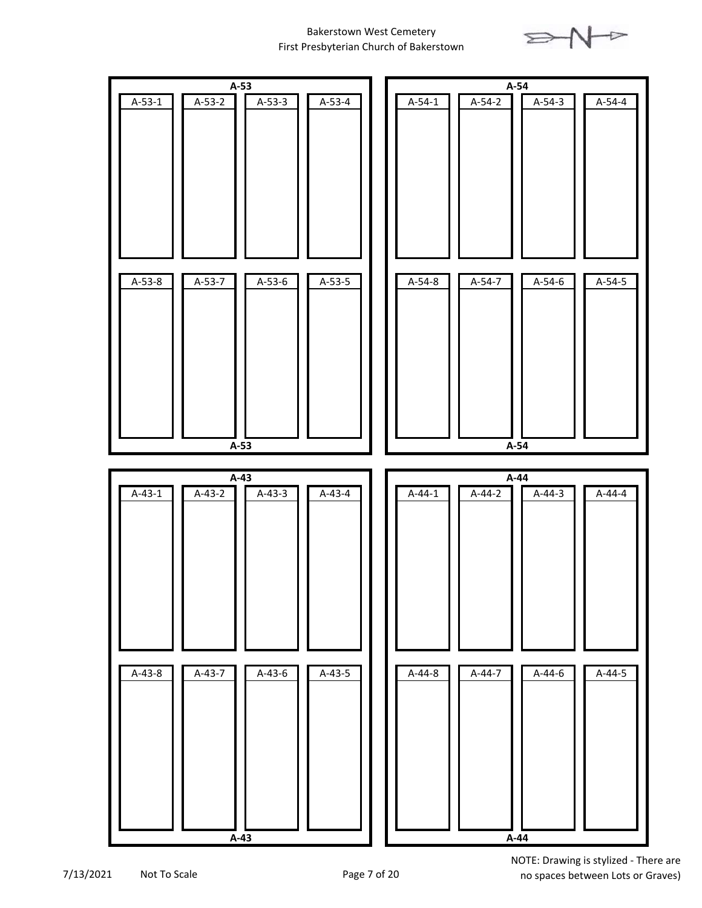

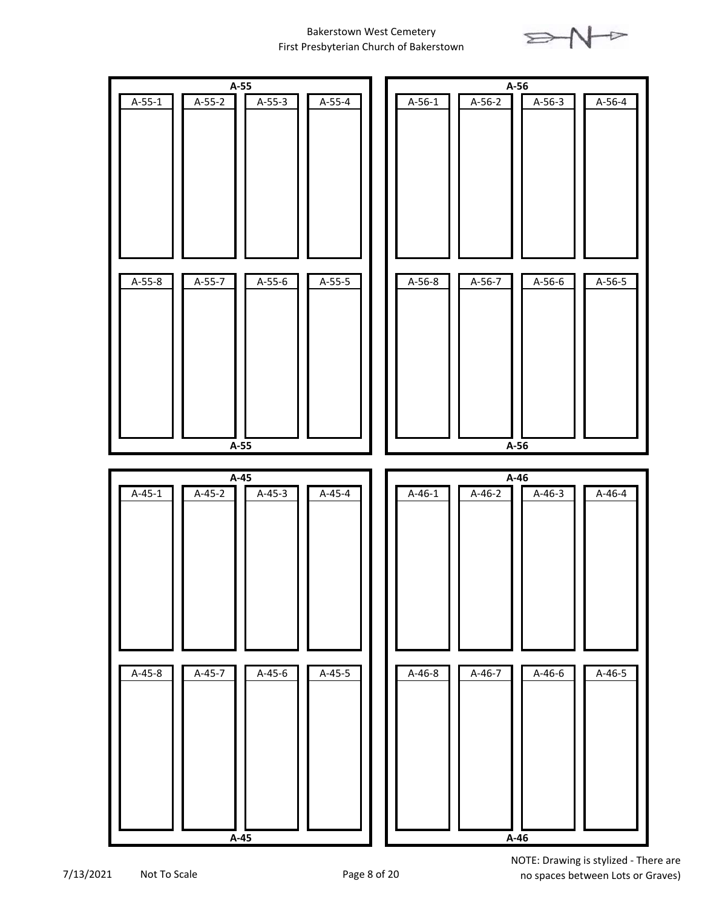



7/13/2021 Not To Scale Page 8 of 20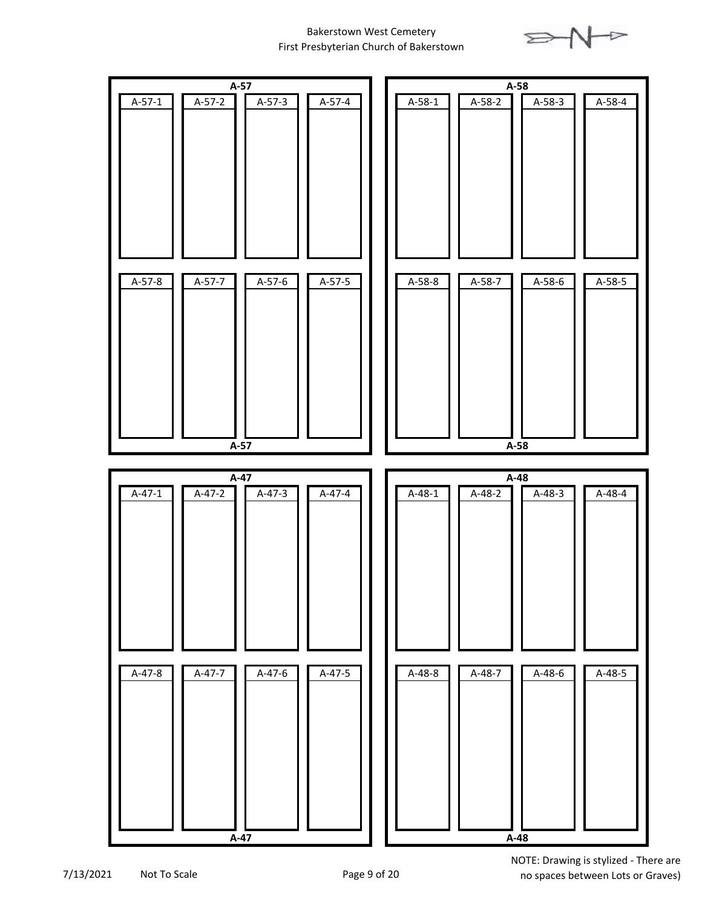



7/13/2021 Not To Scale Page 9 of 20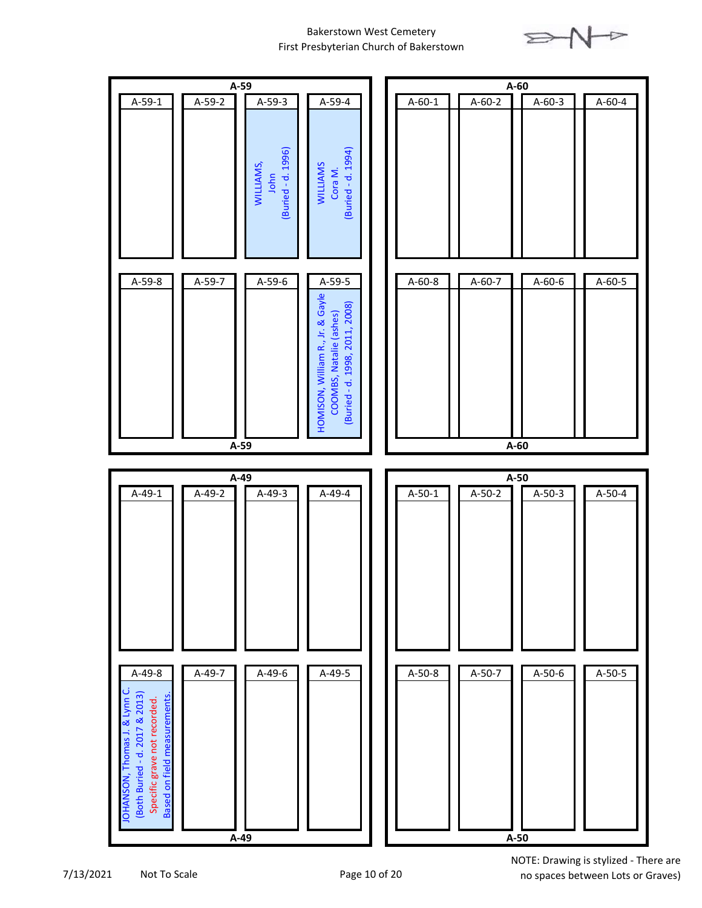

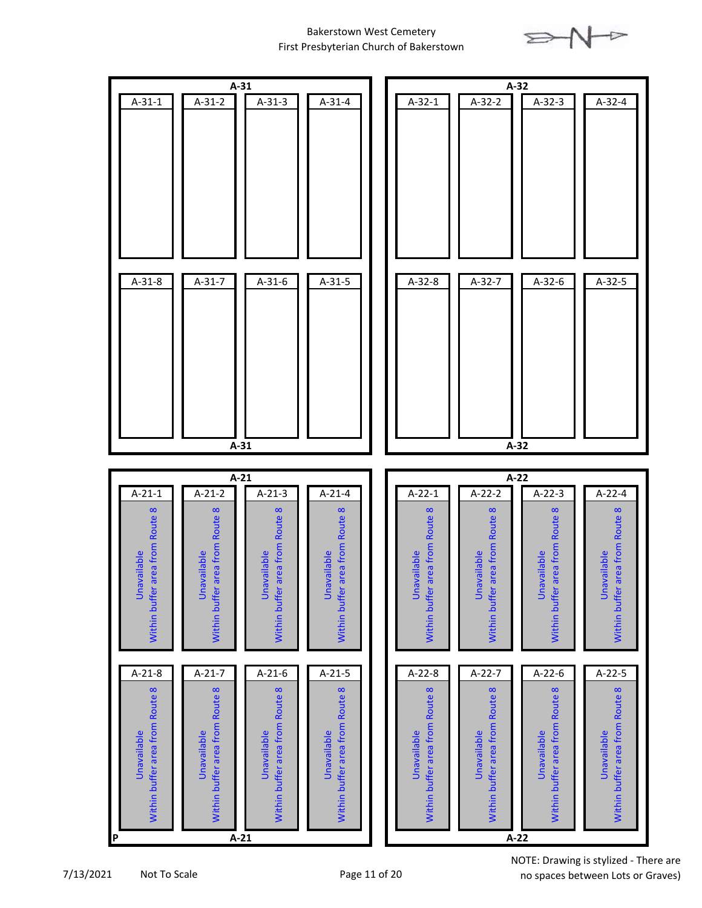



7/13/2021 Not To Scale Page 11 of 20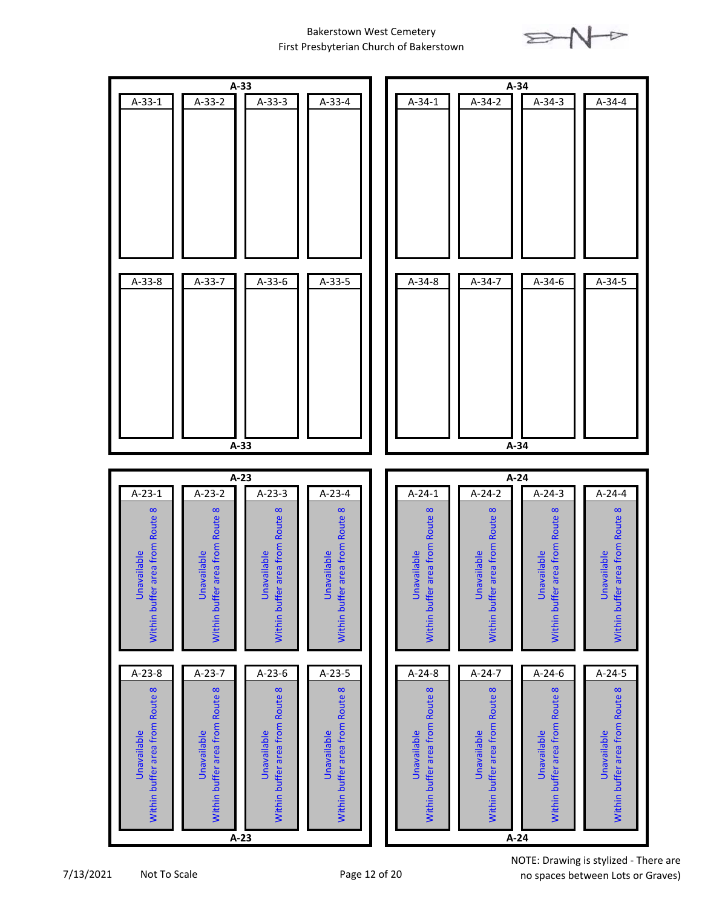

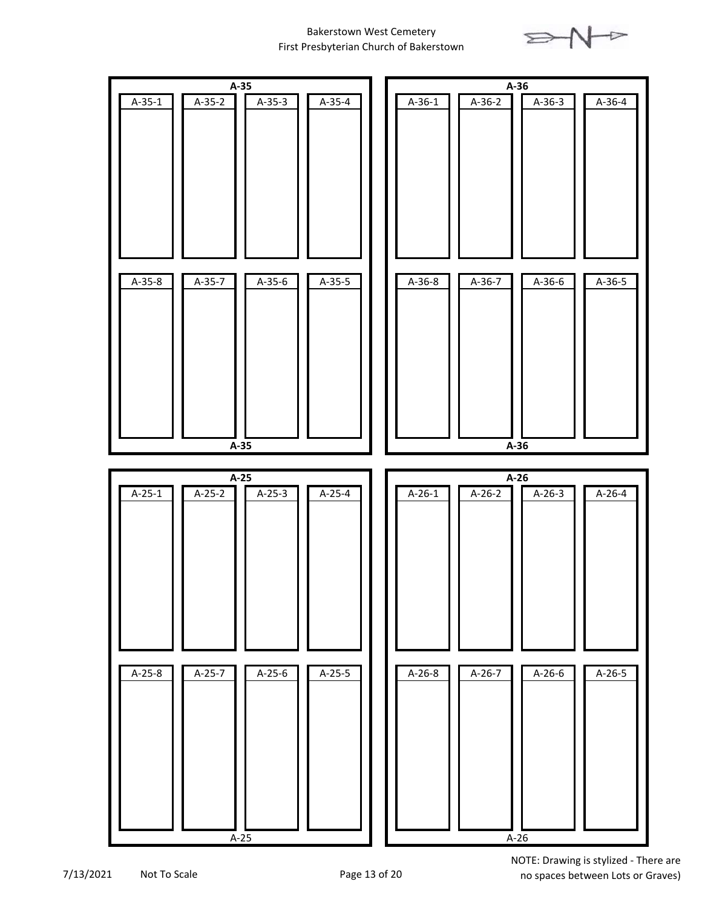



7/13/2021 Not To Scale Page 13 of 20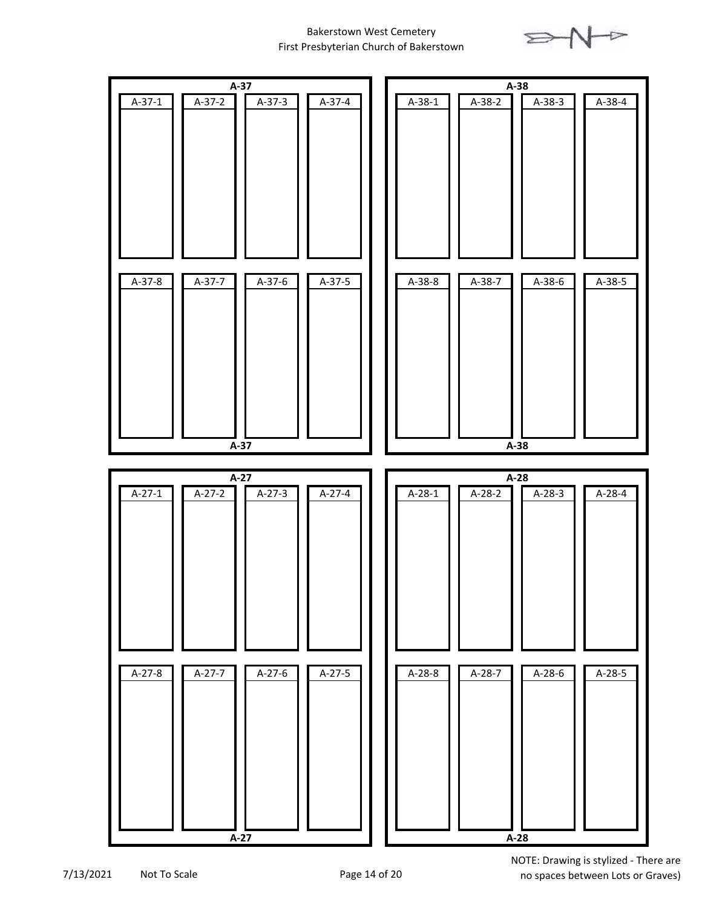



7/13/2021 Not To Scale Page 14 of 20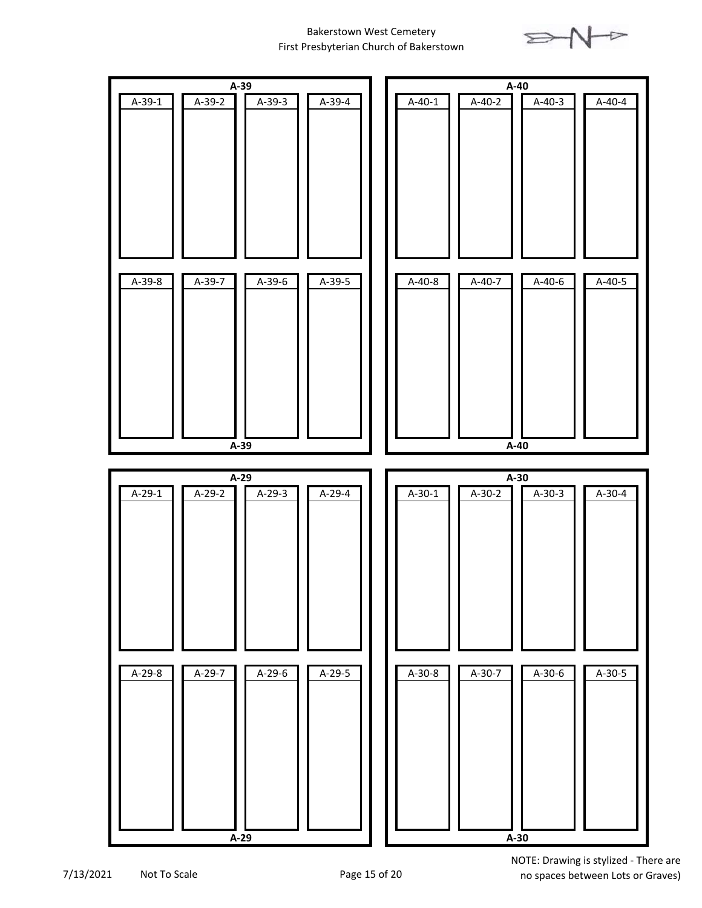

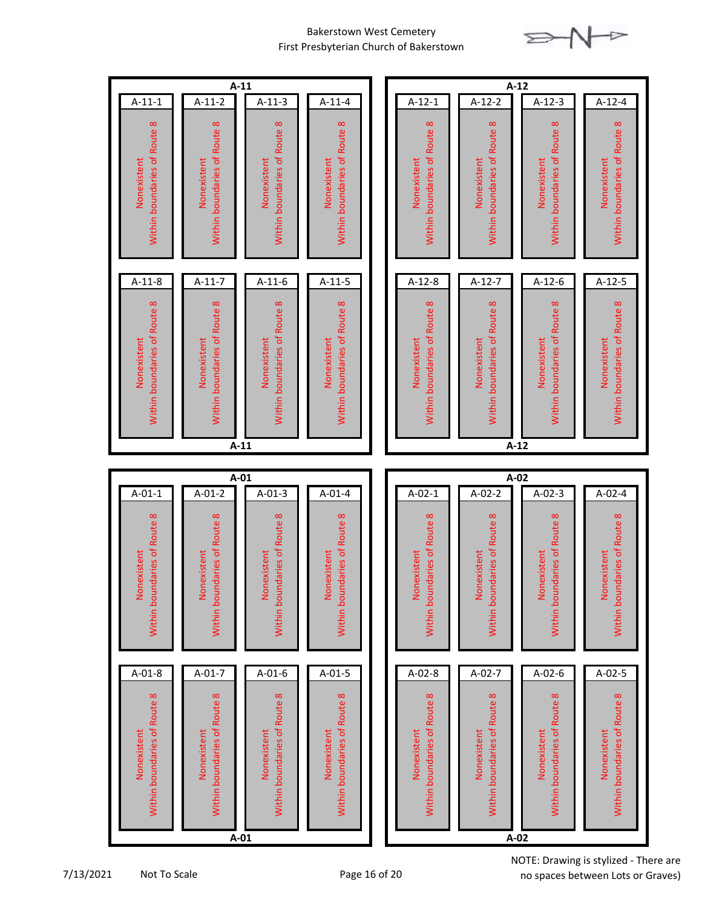

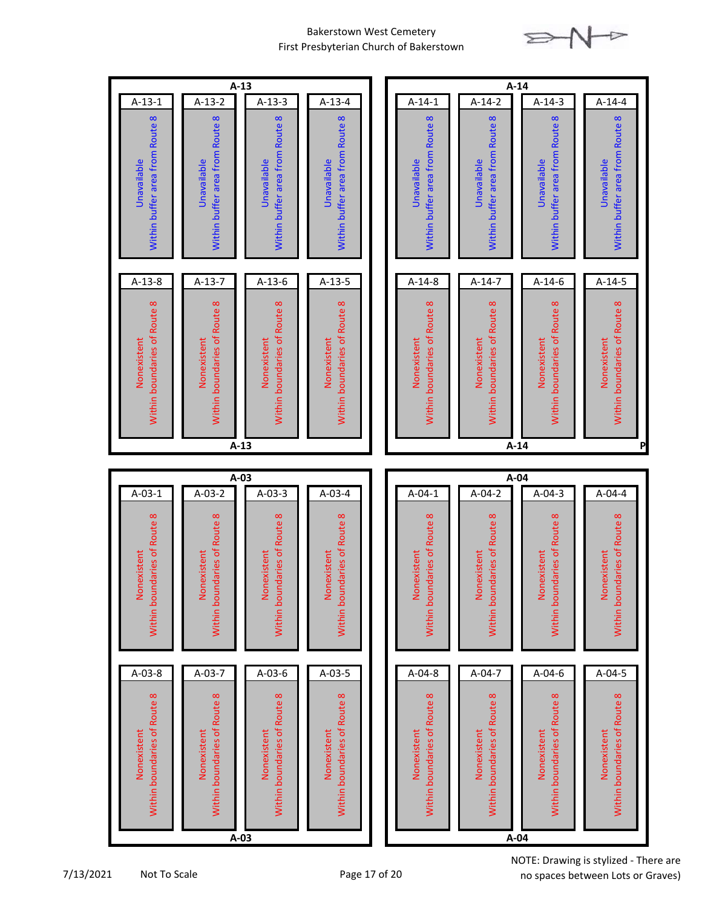

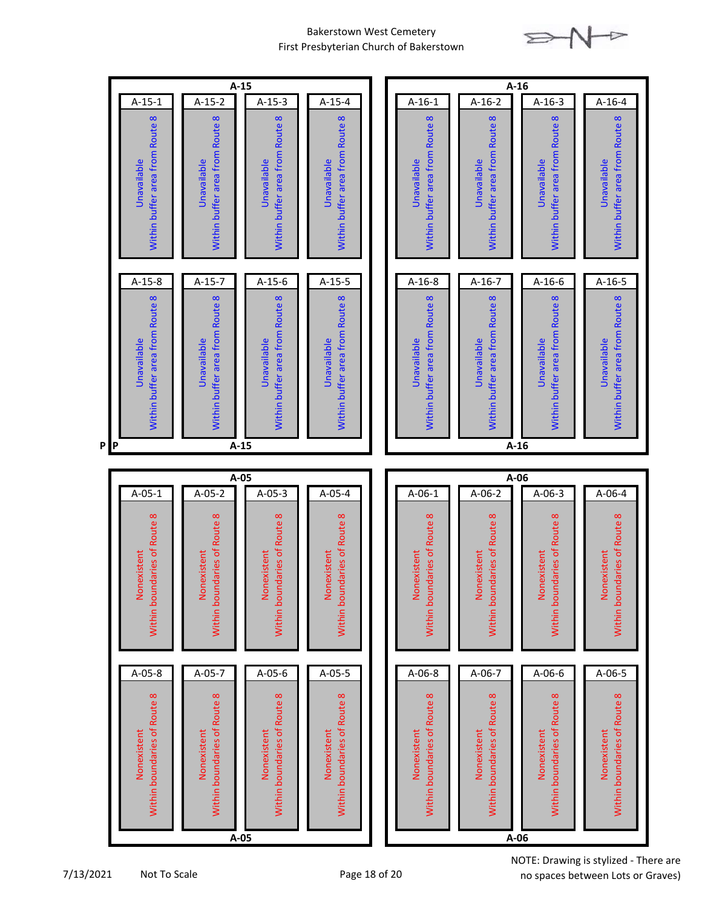



7/13/2021 Not To Scale Page 18 of 20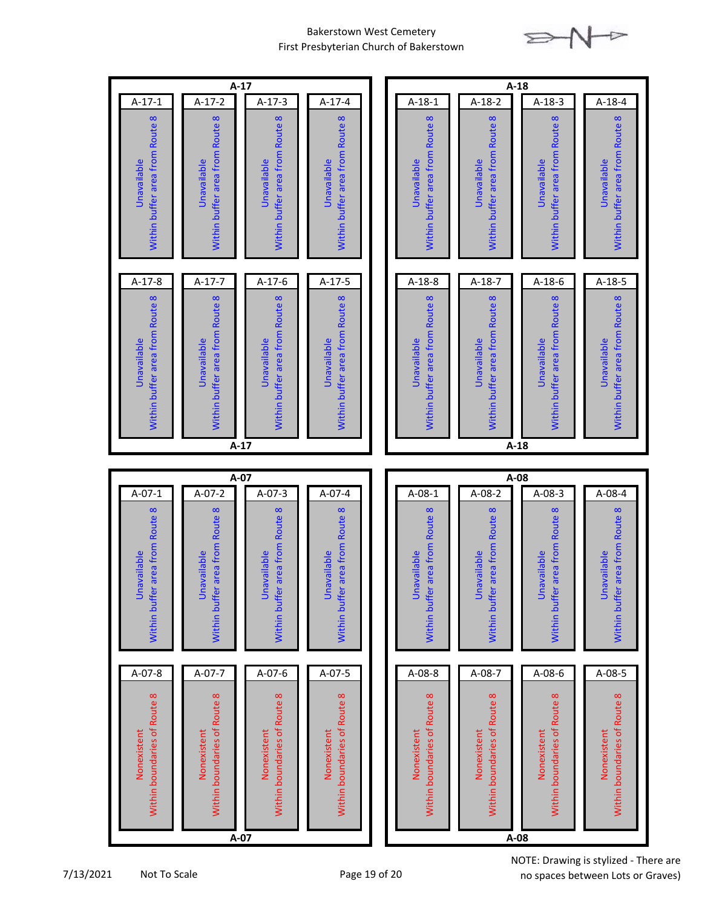

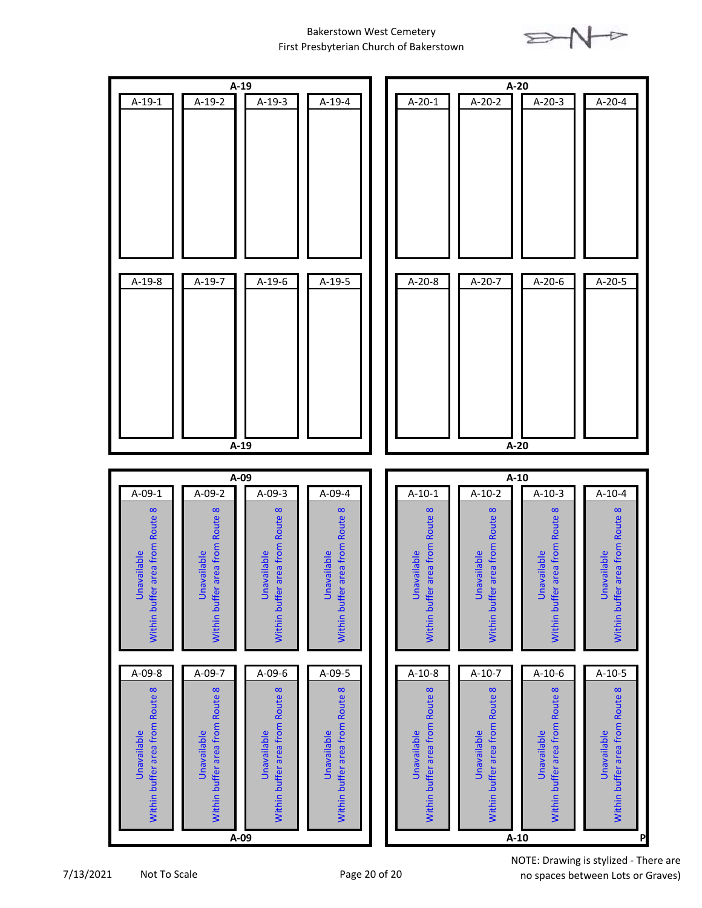



7/13/2021 Not To Scale Page 20 of 20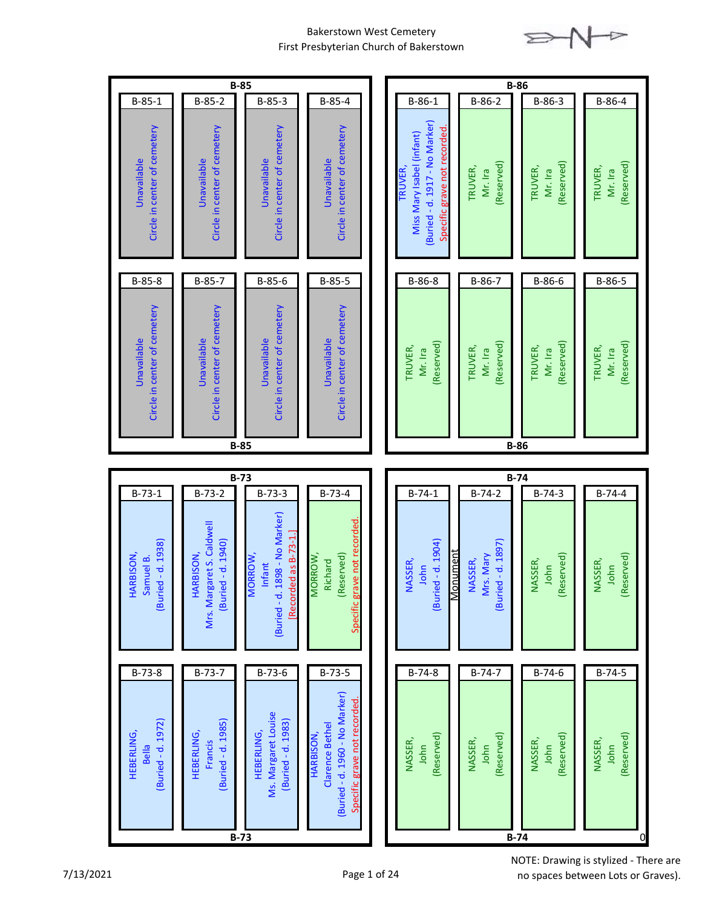

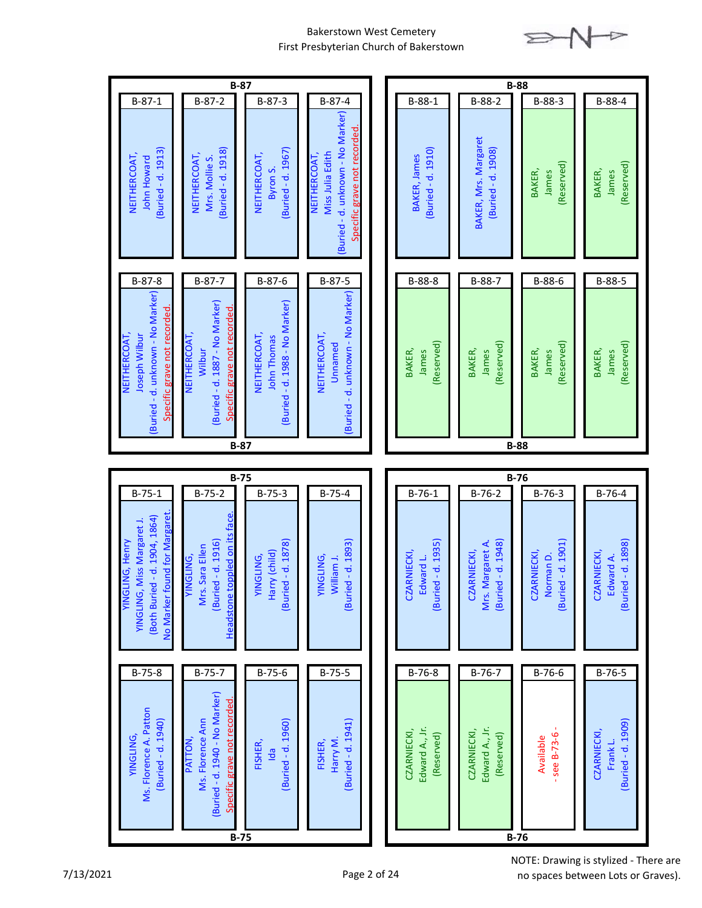

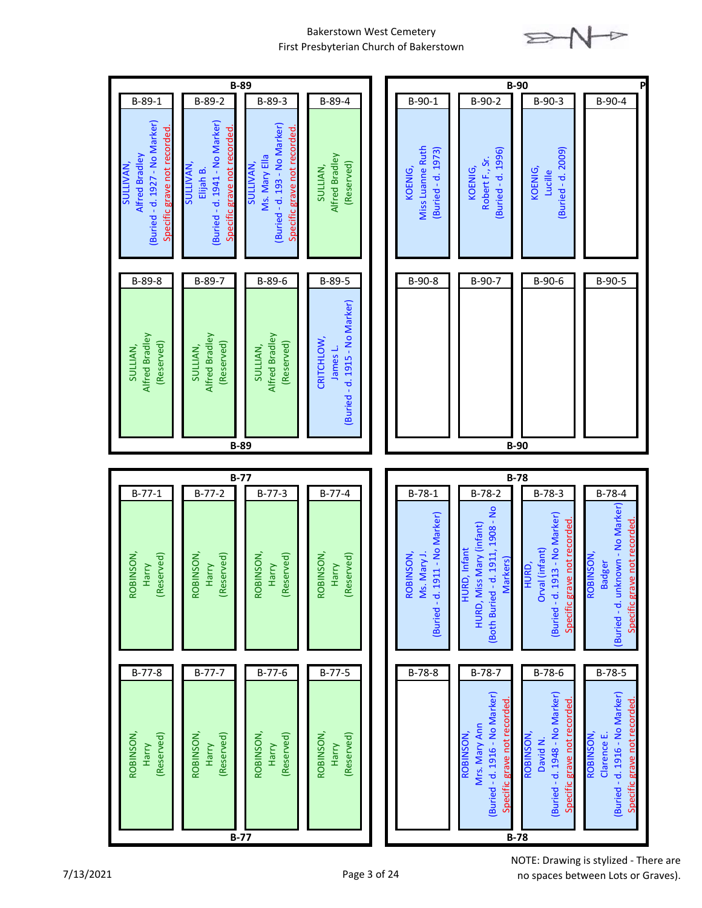

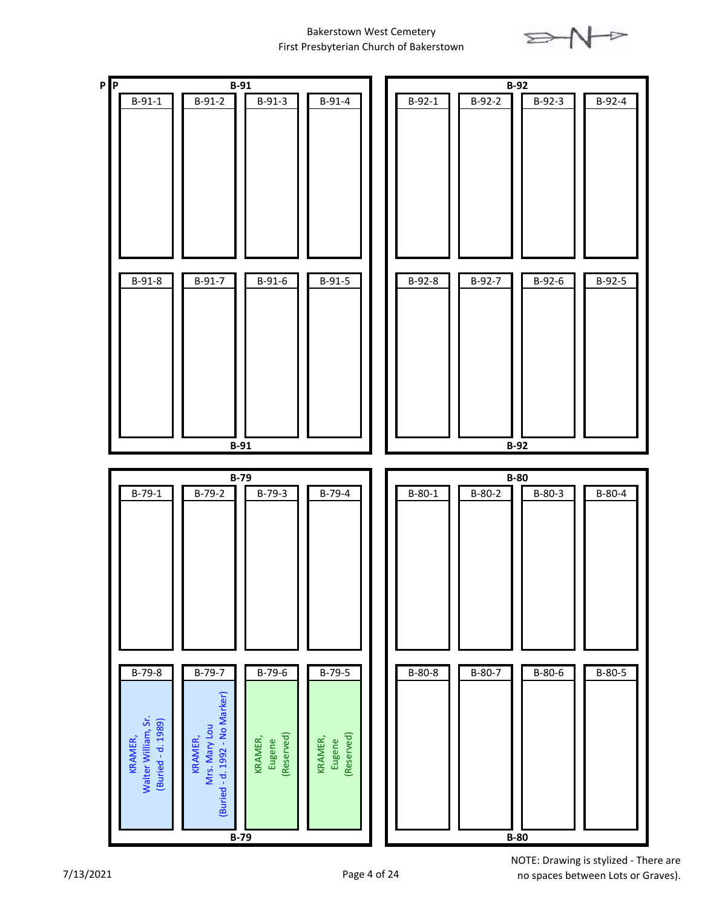

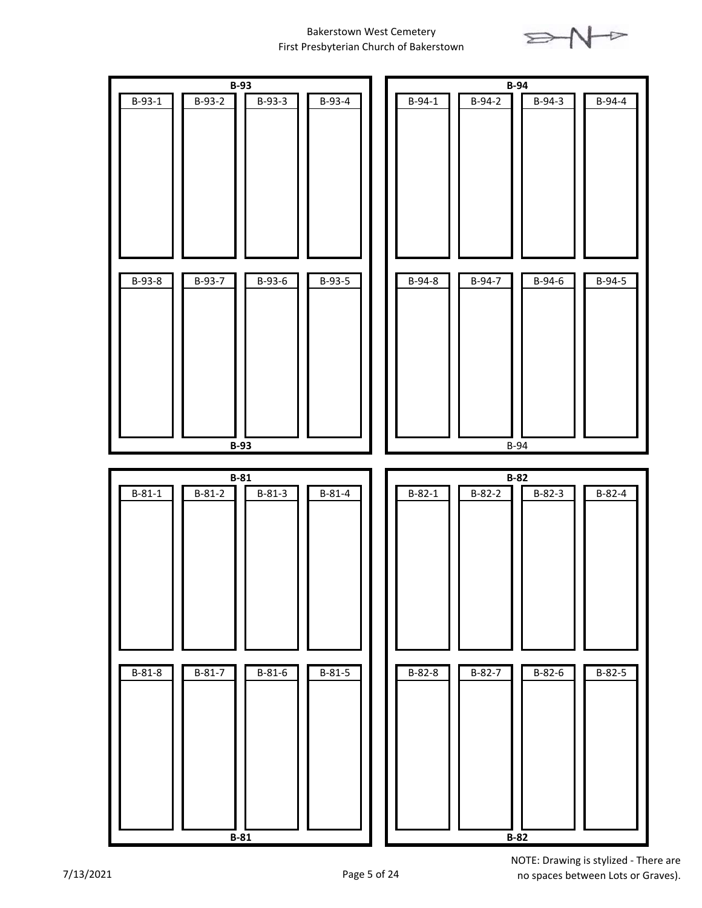

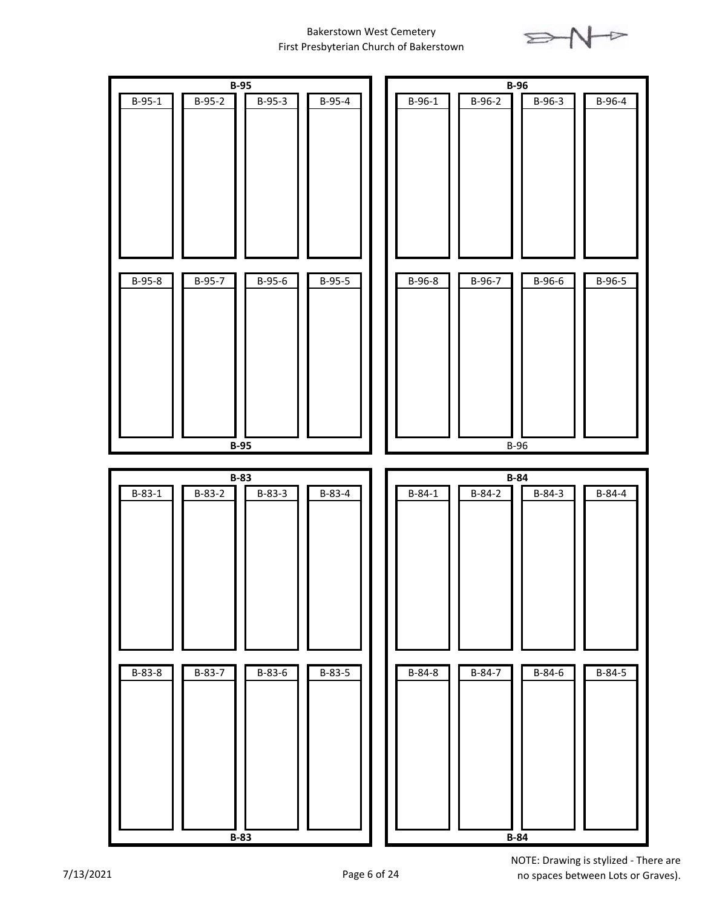

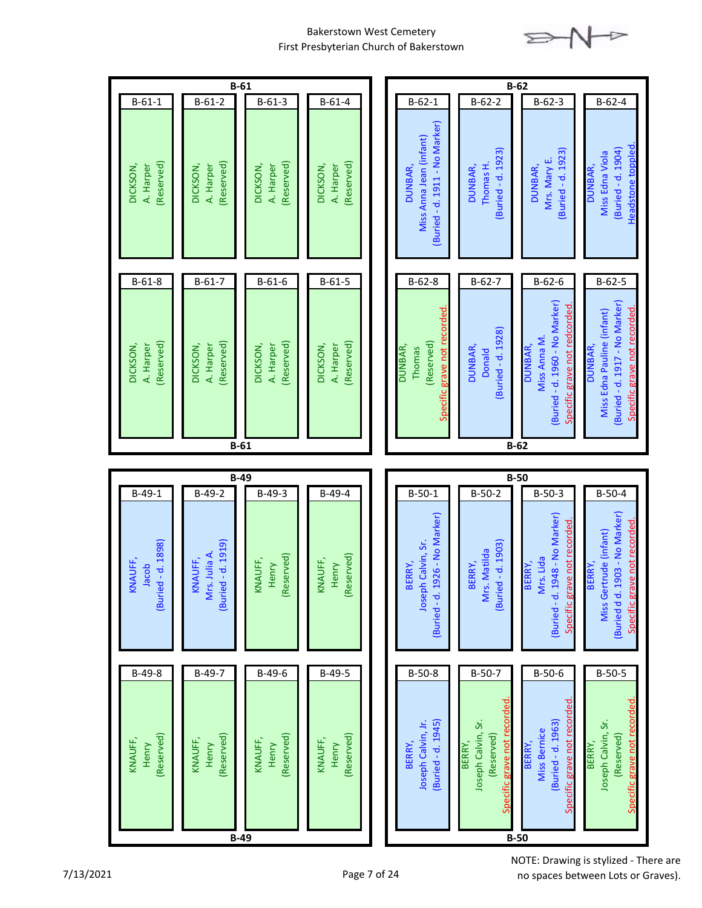

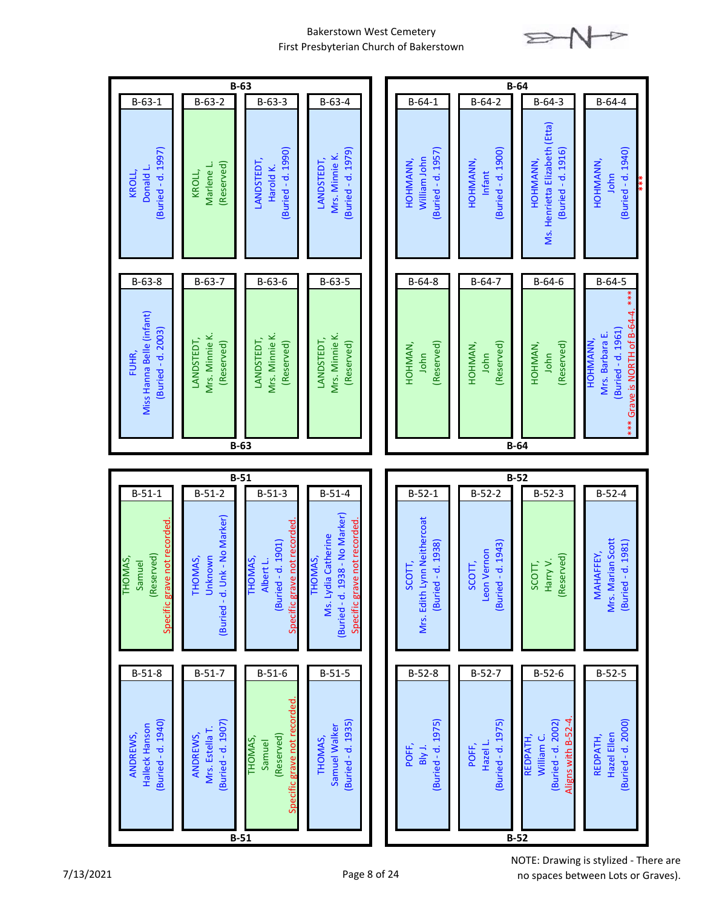

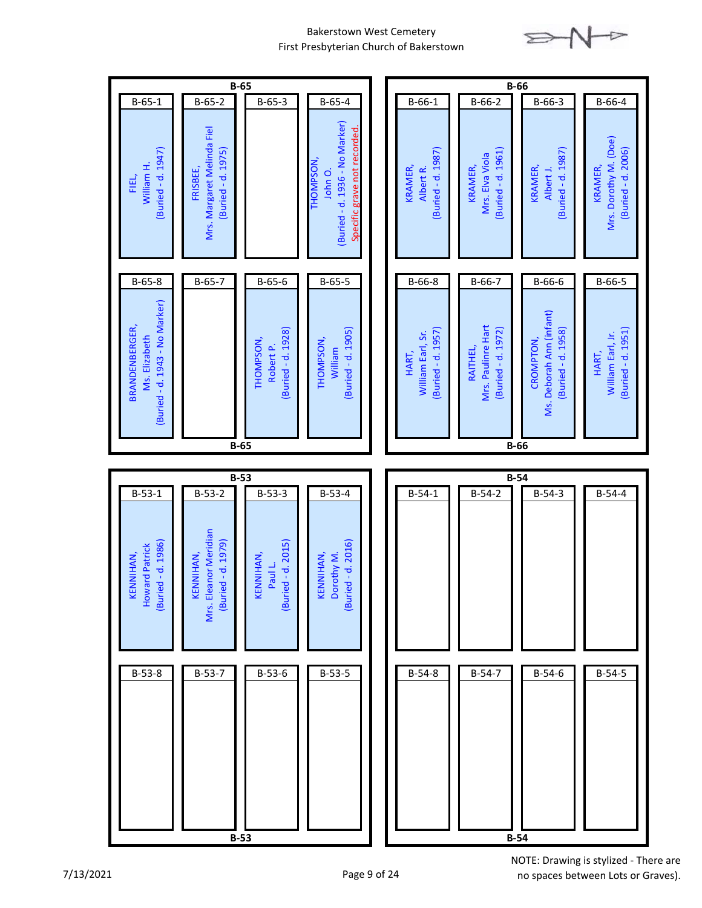

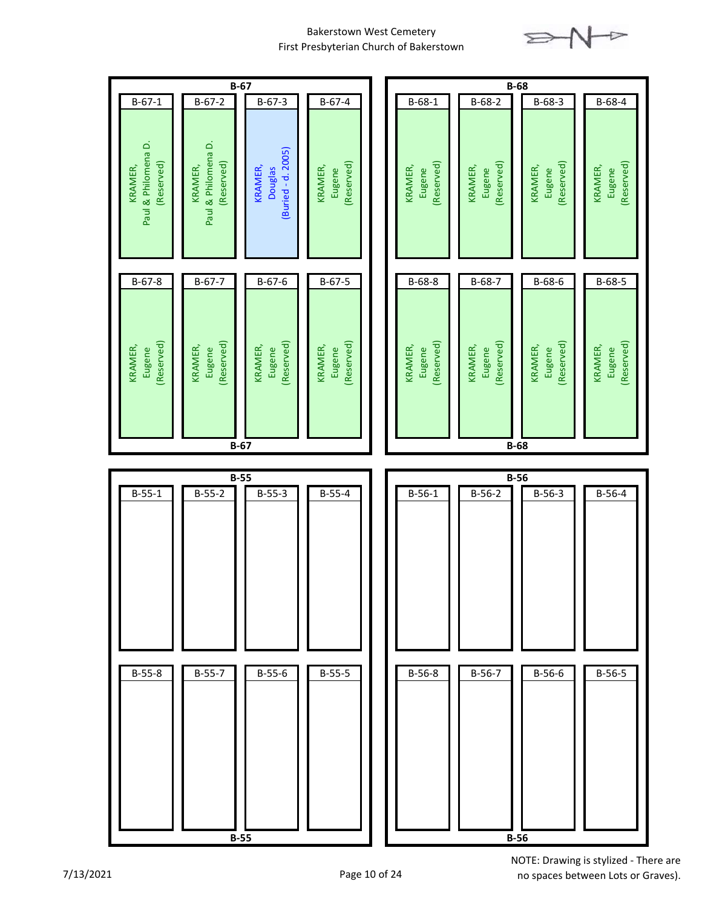



no spaces between Lots or Graves).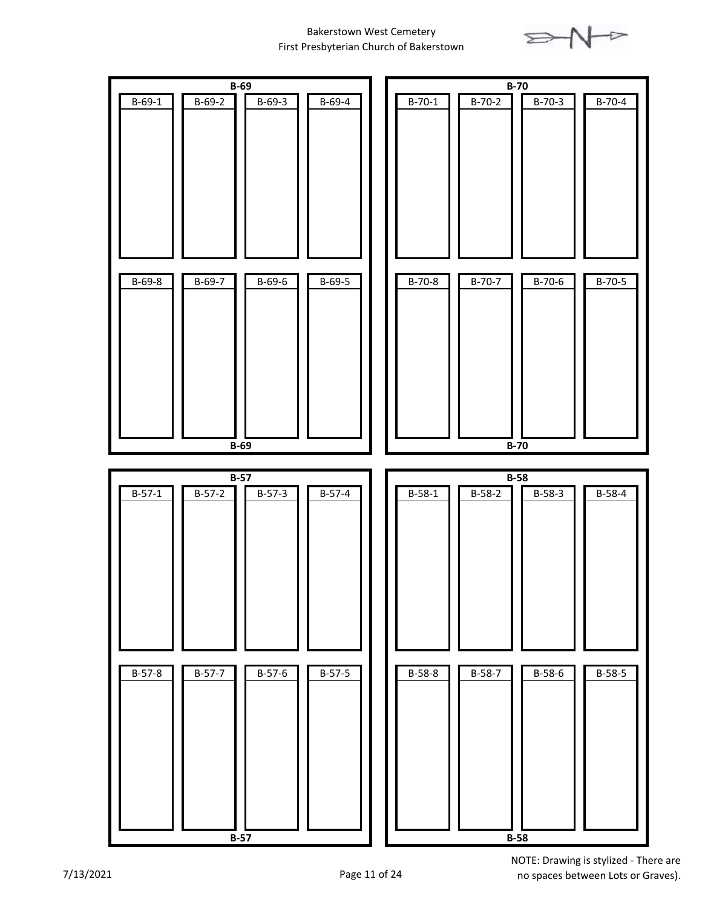

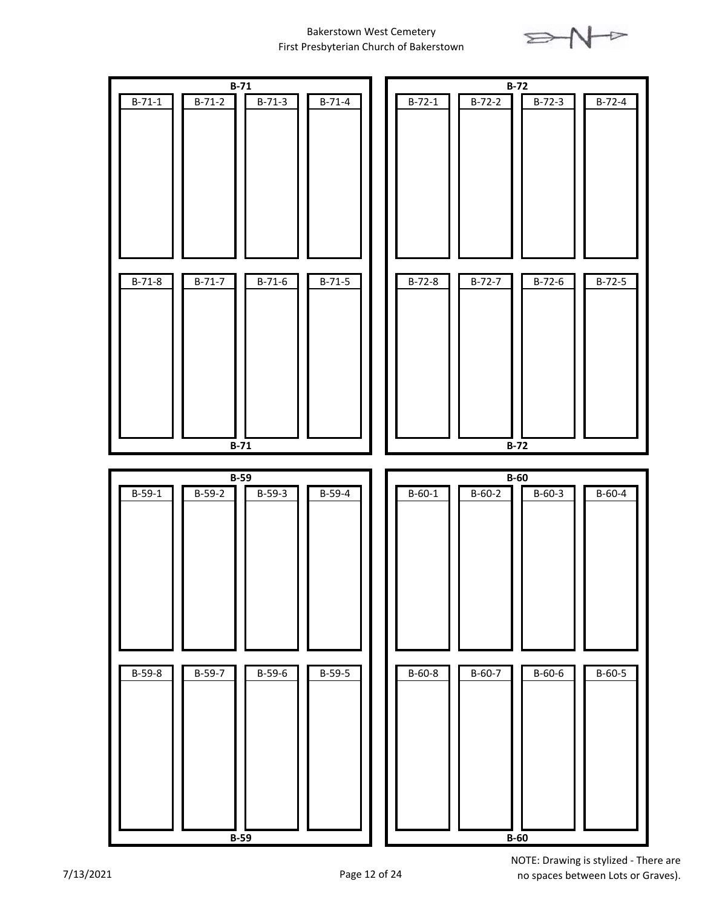

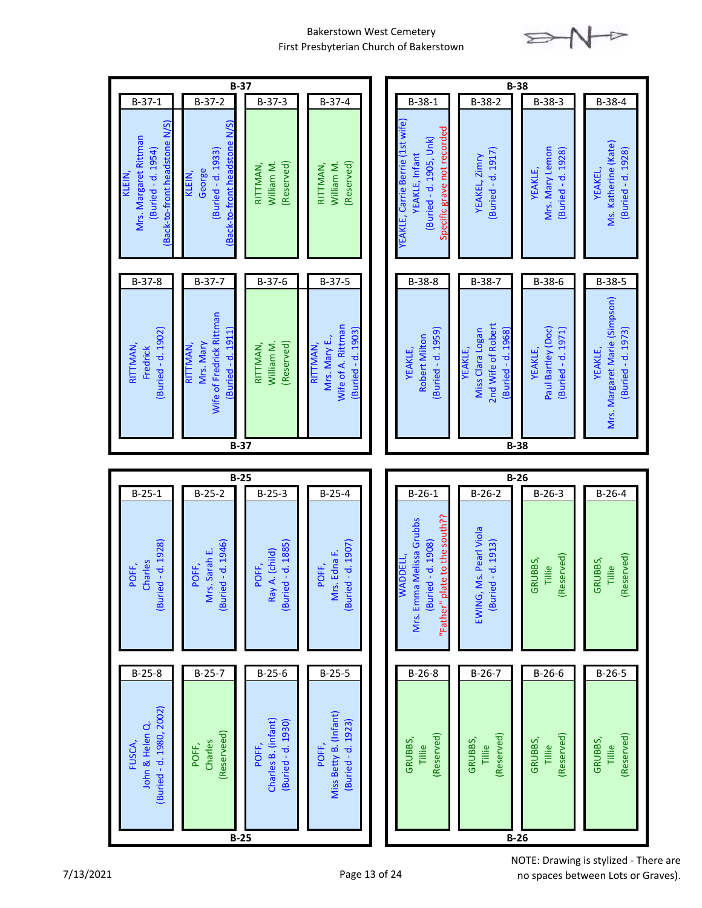

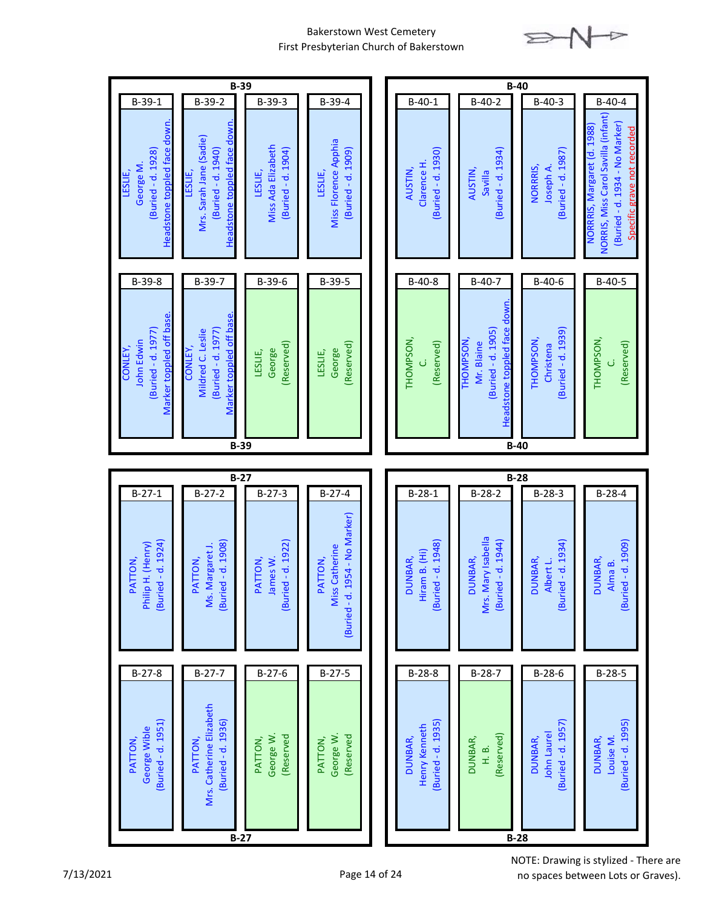

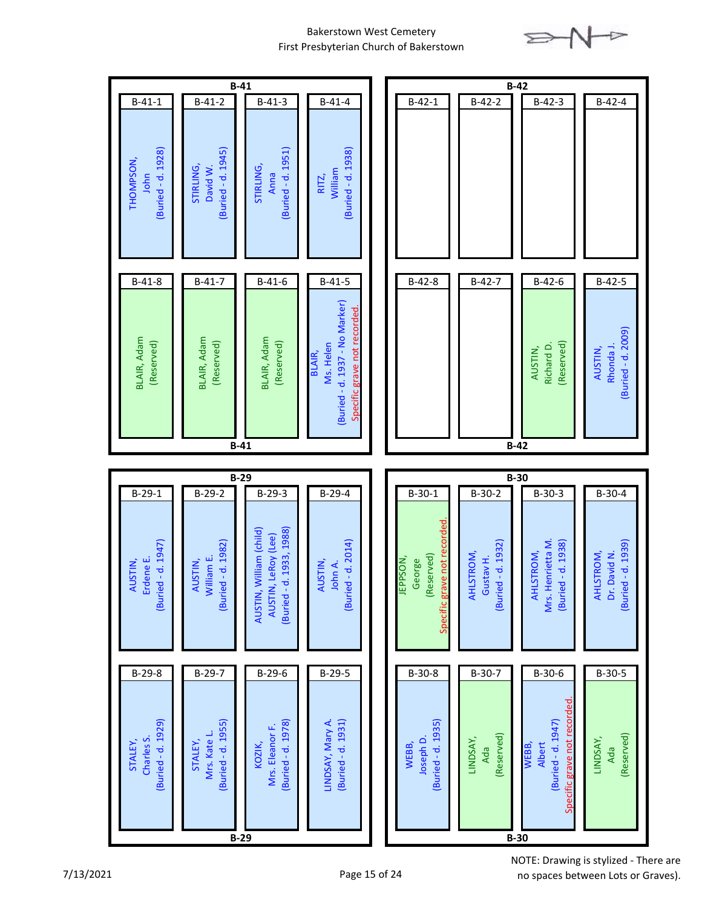

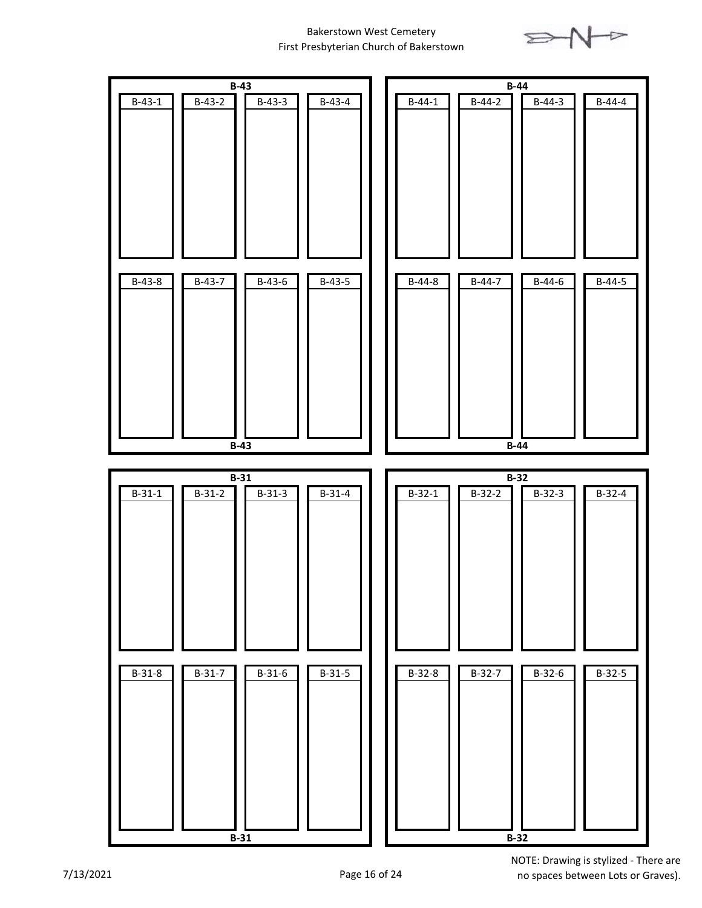

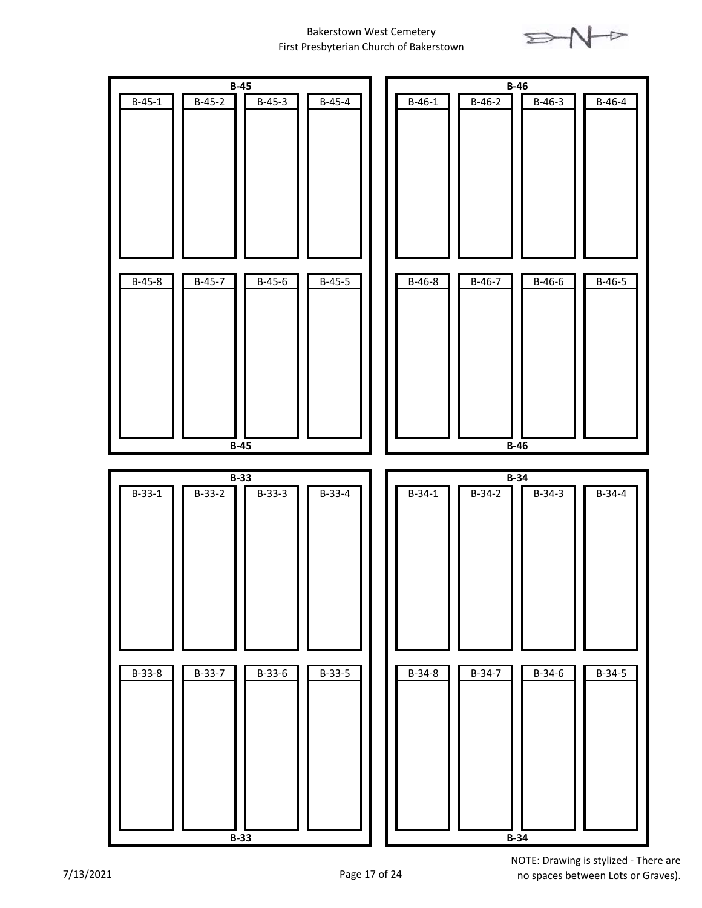

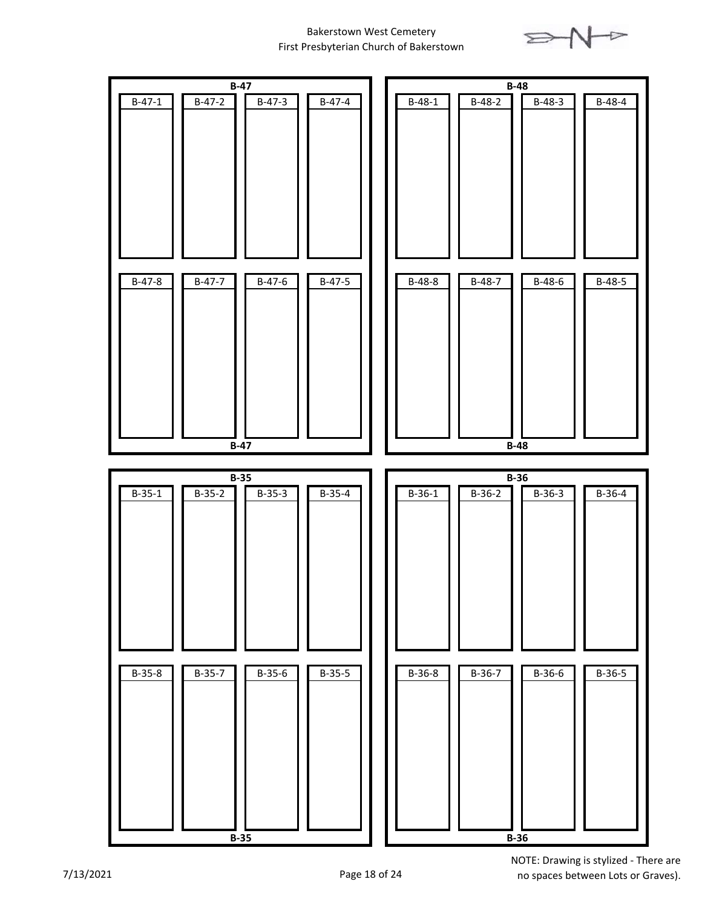

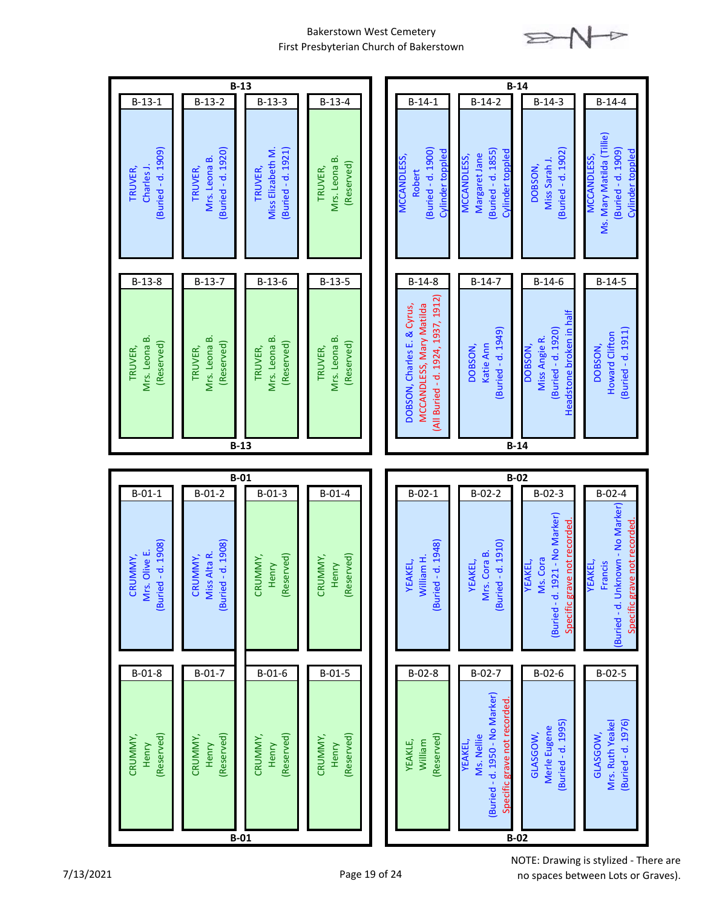

|                                                        |                                                           | $B-13$                                                        |                                                   | $B-14$                                                                                                                                                                                                                                                                                                                                            |
|--------------------------------------------------------|-----------------------------------------------------------|---------------------------------------------------------------|---------------------------------------------------|---------------------------------------------------------------------------------------------------------------------------------------------------------------------------------------------------------------------------------------------------------------------------------------------------------------------------------------------------|
| $B-13-1$<br>Buried - d. 1909)<br>Charles J.<br>TRUVER, | $B-13-2$<br>Buried - d. 1920)<br>Mrs. Leona B.<br>TRUVER, | $B-13-3$<br>Miss Elizabeth M.<br>Buried - d. 1921)<br>TRUVER, | $B-13-4$<br>Mrs. Leona B<br>(Reserved)<br>TRUVER, | $B-14-2$<br>$B-14-1$<br>$B-14-3$<br>$B-14-4$<br>Ms. Mary Matilda (Tillie)<br>Buried - d. 1900)<br>Buried - d. 1902)<br>Buried - d. 1909)<br>Buried - d. 1855)<br>Cylinder toppled<br>Cylinder toppled<br>Cylinder toppled<br>Margaret Jane<br><b>MCCANDLESS,</b><br>MCCANDLESS,<br><b>MCCANDLESS,</b><br>Miss Sarah J.<br><b>DOBSON</b><br>Robert |
| $B-13-8$                                               | $B-13-7$                                                  | $B-13-6$                                                      | $B-13-5$                                          | $B-14-7$<br>$B-14-6$<br>$B-14-5$<br>$B-14-8$                                                                                                                                                                                                                                                                                                      |
| Mrs. Leona B.<br>(Reserved)<br>TRUVER,                 | Mrs. Leona B.<br>(Reserved)<br>TRUVER,                    | Mrs. Leona B.<br>(Reserved)<br>TRUVER,                        | Mrs. Leona B.<br>(Reserved)<br>TRUVER,            | (All Buried - d. 1924, 1937, 1912)<br>DOBSON, Charles E. & Cyrus,<br>MCCANDLESS, Mary Matilda<br>Headstone broken in half<br>Buried - d. 1920)<br>Buried - d. 1949)<br>Buried - d. 1911)<br>Howard Clifton<br>Miss Angie R.<br>Katie Ann<br>DOBSON,<br>DOBSON,<br><b>DOBSON</b>                                                                   |
|                                                        |                                                           |                                                               |                                                   |                                                                                                                                                                                                                                                                                                                                                   |
|                                                        |                                                           | $B-13$                                                        |                                                   | $B-14$                                                                                                                                                                                                                                                                                                                                            |
|                                                        |                                                           |                                                               |                                                   |                                                                                                                                                                                                                                                                                                                                                   |
| $B-01-1$                                               | $B-01-2$                                                  | $B-01$<br>$B-01-3$                                            | $B - 01 - 4$                                      | $B-02$<br>$B-02-1$<br>$B-02-2$<br>$B-02-3$<br>$\overline{B} - 02 - 4$                                                                                                                                                                                                                                                                             |
| (Buried - d. 1908)<br>Mrs. Olive E.<br>CRUMMY,         | (Buried - d. 1908)<br>Miss Alta R.<br>CRUMMY,             | (Reserved)<br>CRUMMY,<br>Henry                                | (Reserved)<br>CRUMMY,<br>Henry                    | Buried - d. Unknown - No Marker)<br>(Buried - d. 1921 - No Marker)<br>ve not recorded<br>Specific grave not recorded<br>(Buried - d. 1948)<br>(Buried - d. 1910)<br>Mrs. Cora B.<br>William H.<br>Ms. Cora<br>YEAKEL,<br>EAKEL,<br>Francis<br><b>YEAKEL,</b><br>EAKEL,<br>Specific grav                                                           |
| $B-01-8$                                               | $B-01-7$                                                  | $B-01-6$                                                      | $B-01-5$                                          | $B-02-7$<br>$B-02-8$<br>$B-02-6$<br>$B-02-5$                                                                                                                                                                                                                                                                                                      |
| (Reserved)<br>CRUMMY,<br>Henry                         | (Reserved)<br>CRUMMY,<br>Henry                            | (Reserved)<br>CRUMMY,<br>Henry<br>$B-01$                      | (Reserved)<br>CRUMMY,<br>Henry                    | (Buried - d. 1950 - No Marker)<br>Specific grave not recorded<br>Buried - d. 1995)<br>Buried - d. 1976)<br>Mrs. Ruth Yeakel<br>Merle Eugene<br>GLASGOW,<br>GLASGOW,<br>(Reserved)<br>Ms. Nellie<br>YEAKLE,<br>William<br><b>YEAKEL,</b><br>$B-02$                                                                                                 |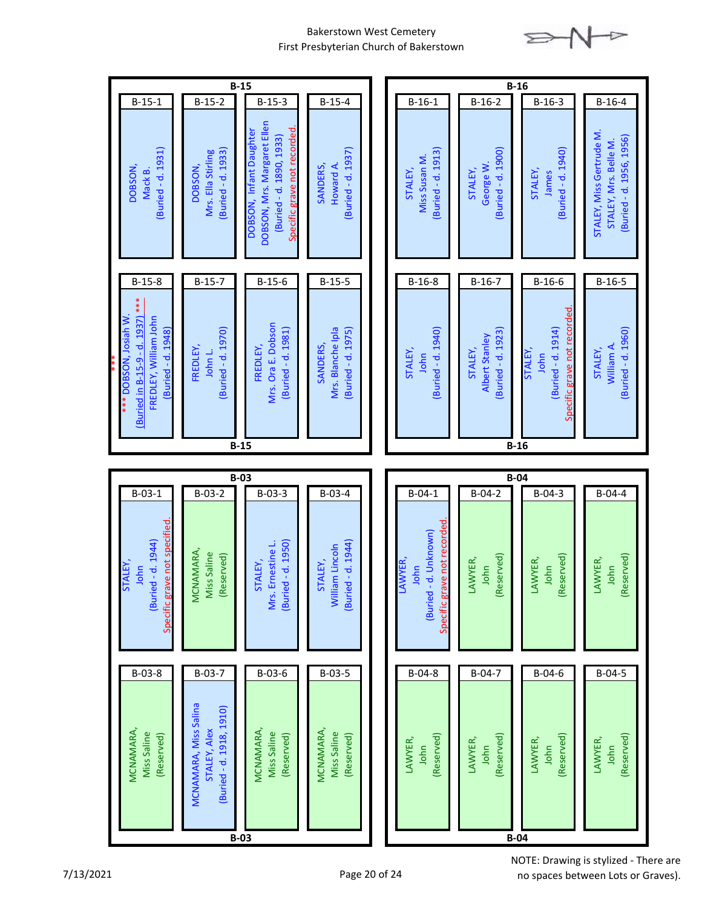

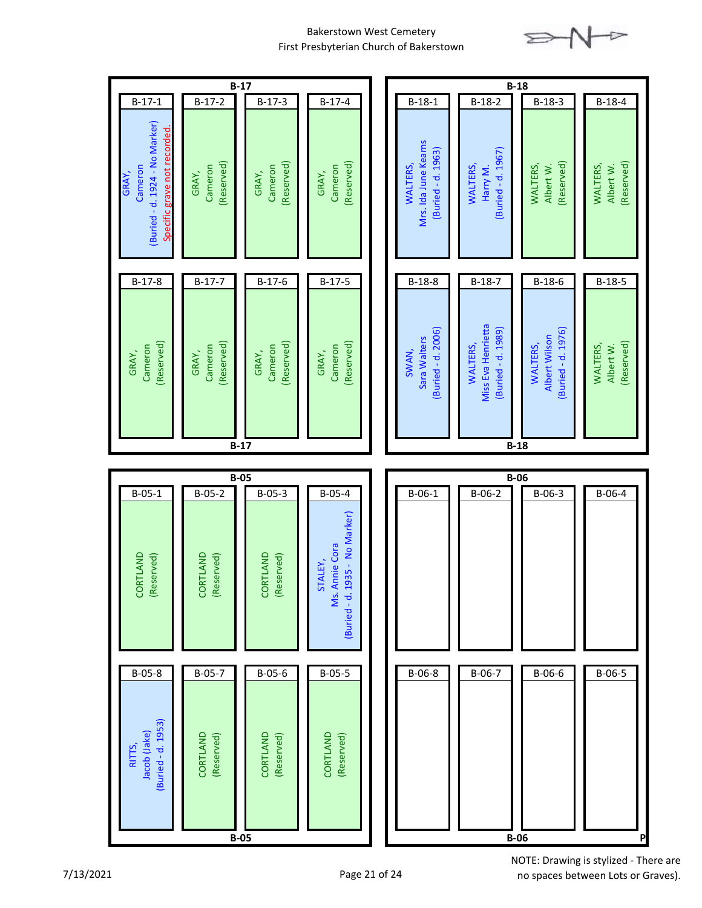

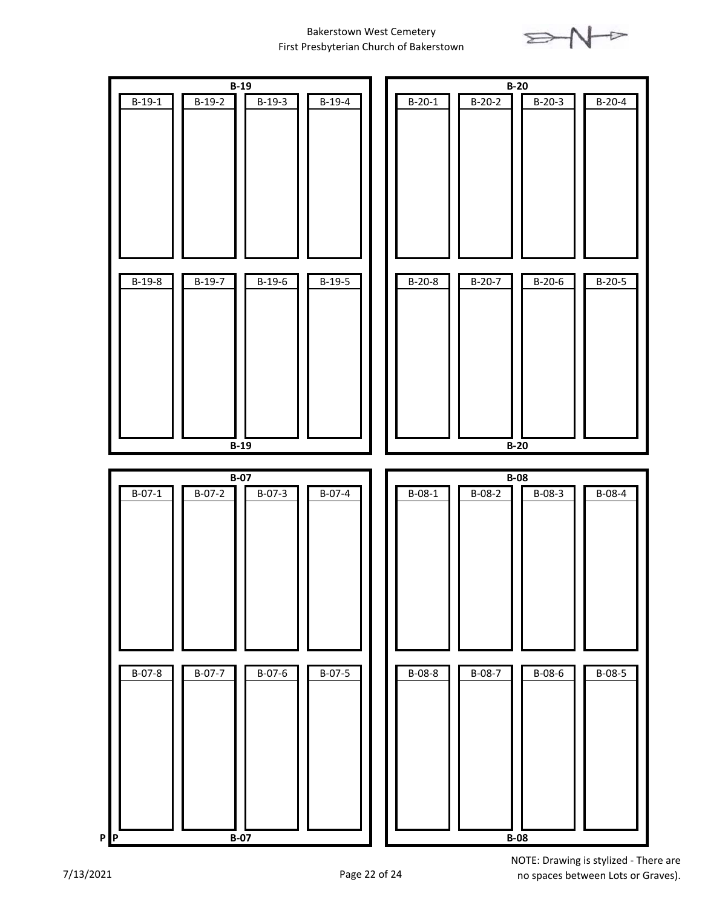

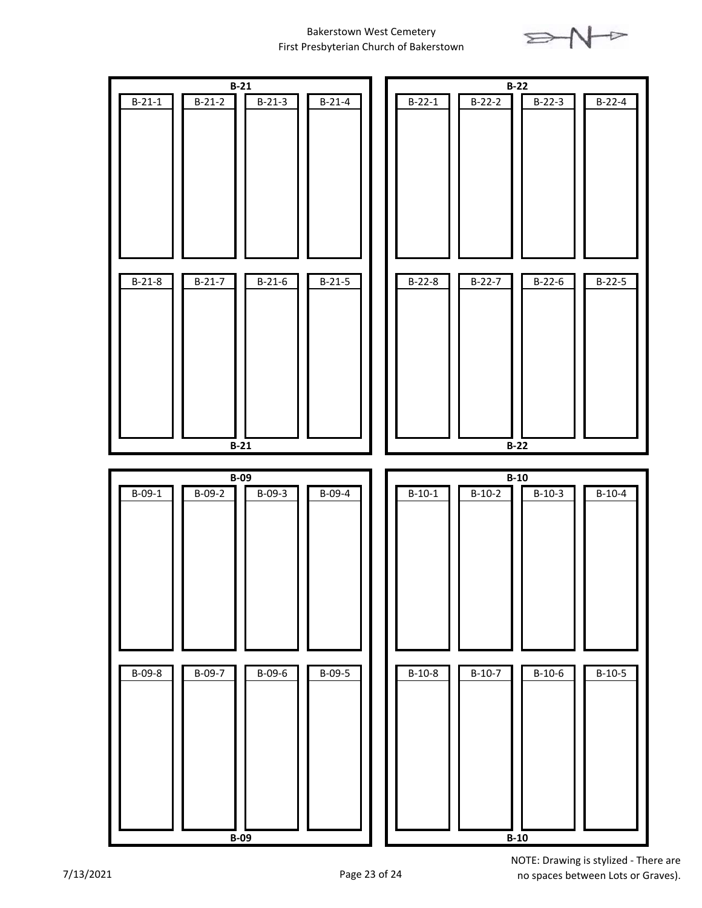

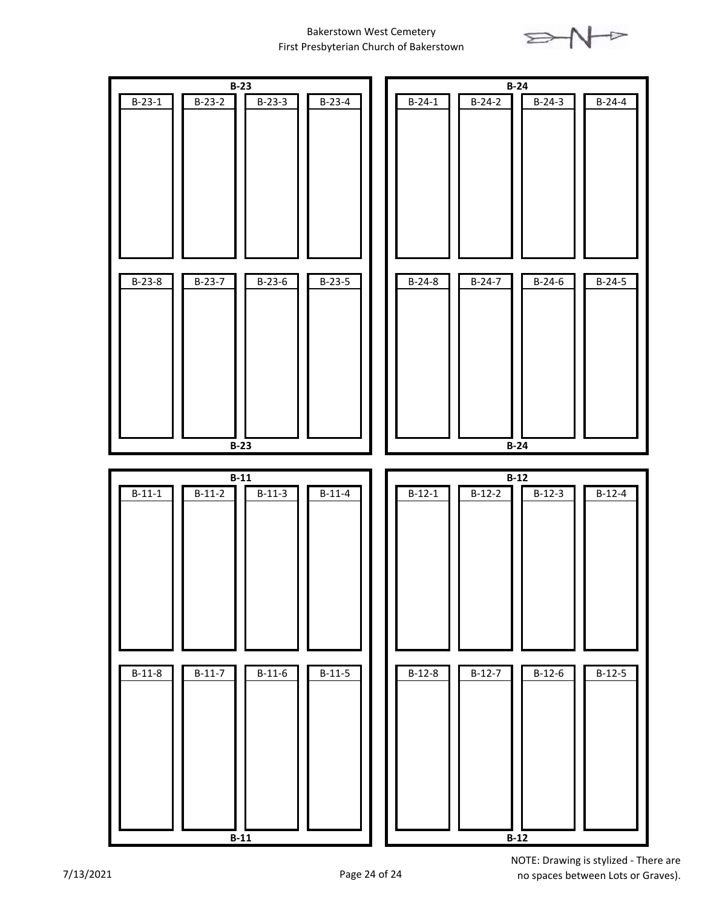

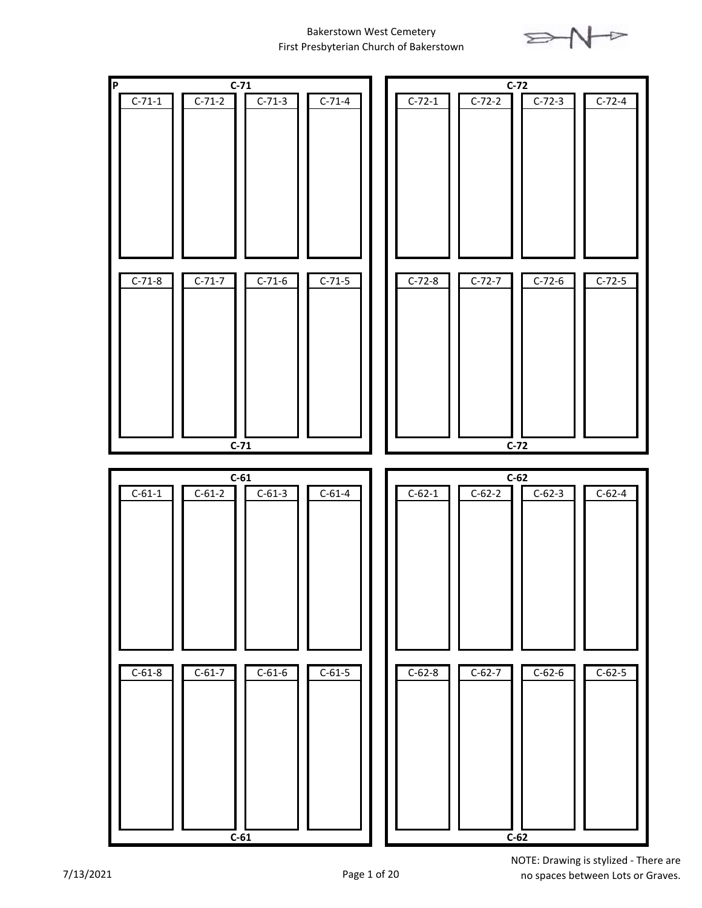

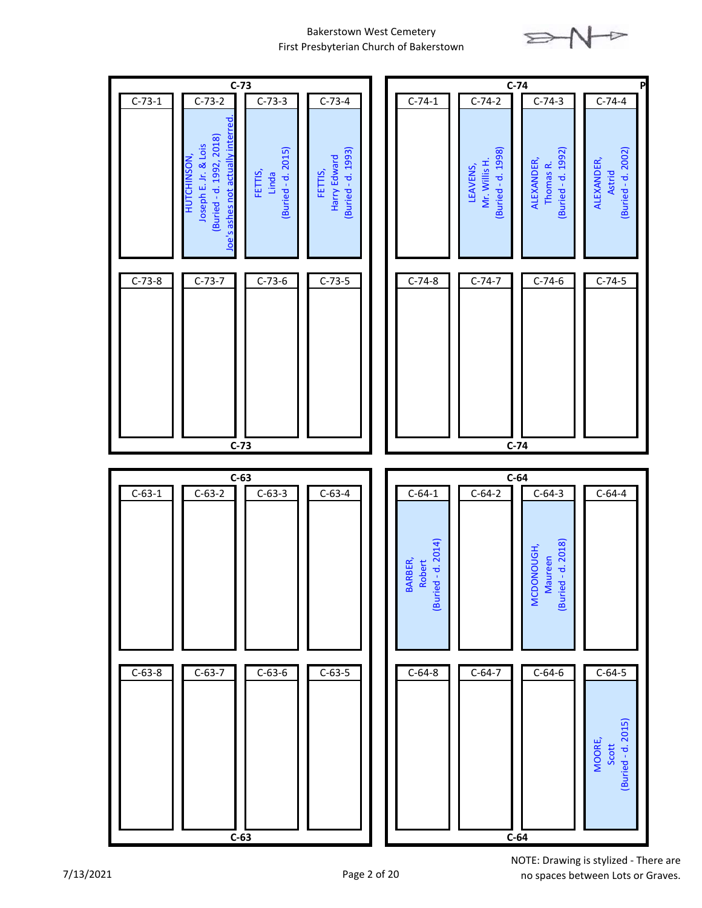

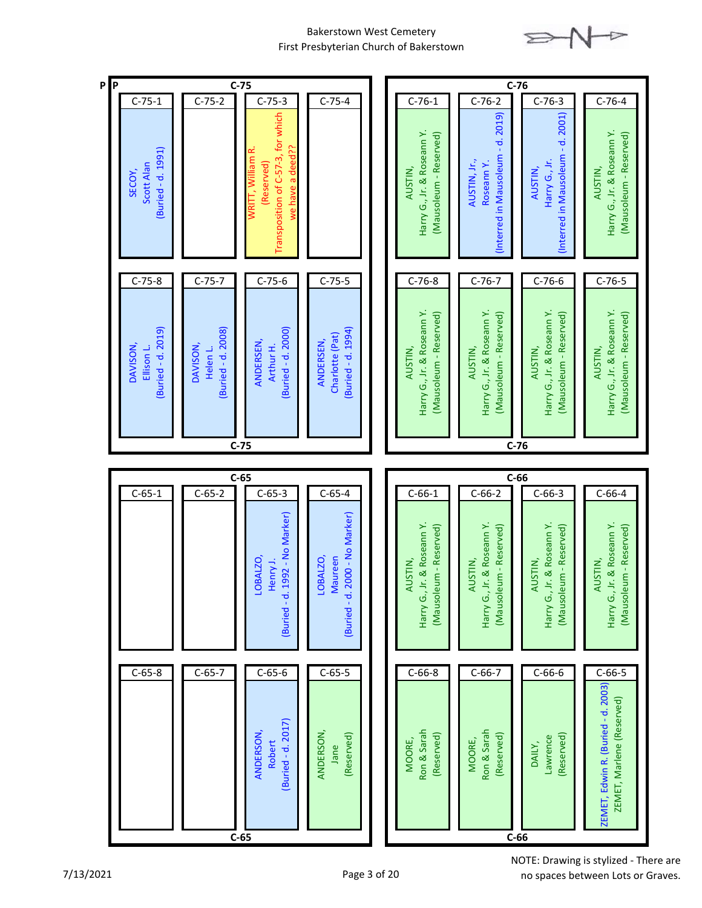

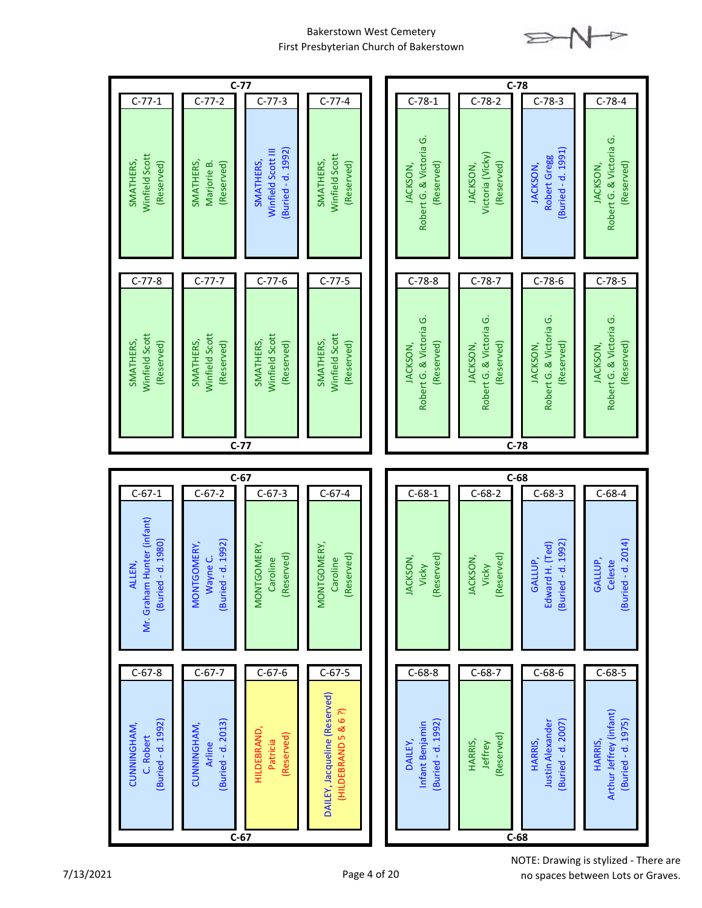

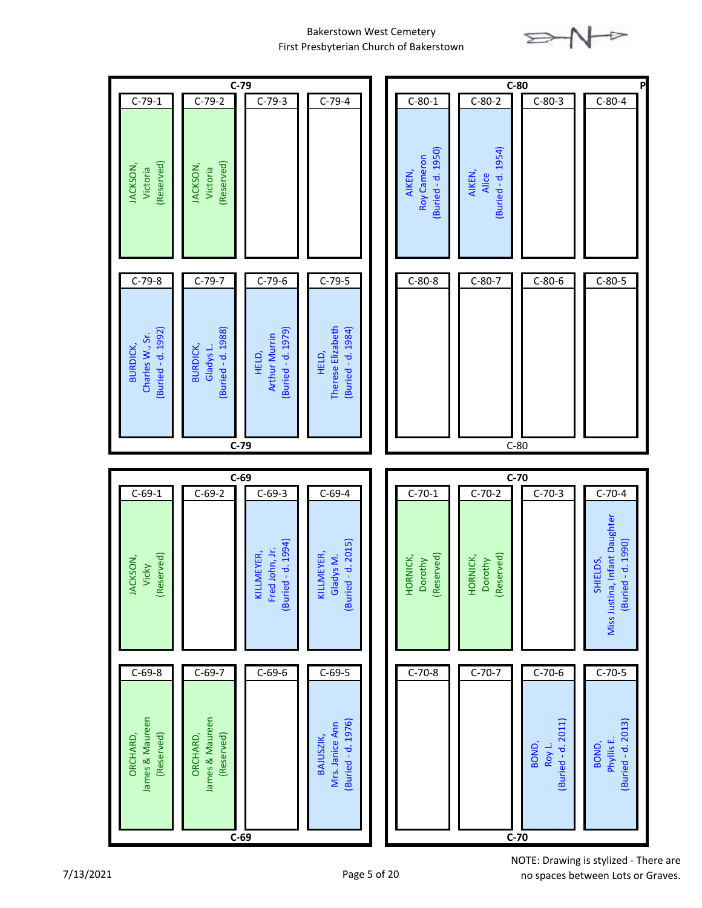

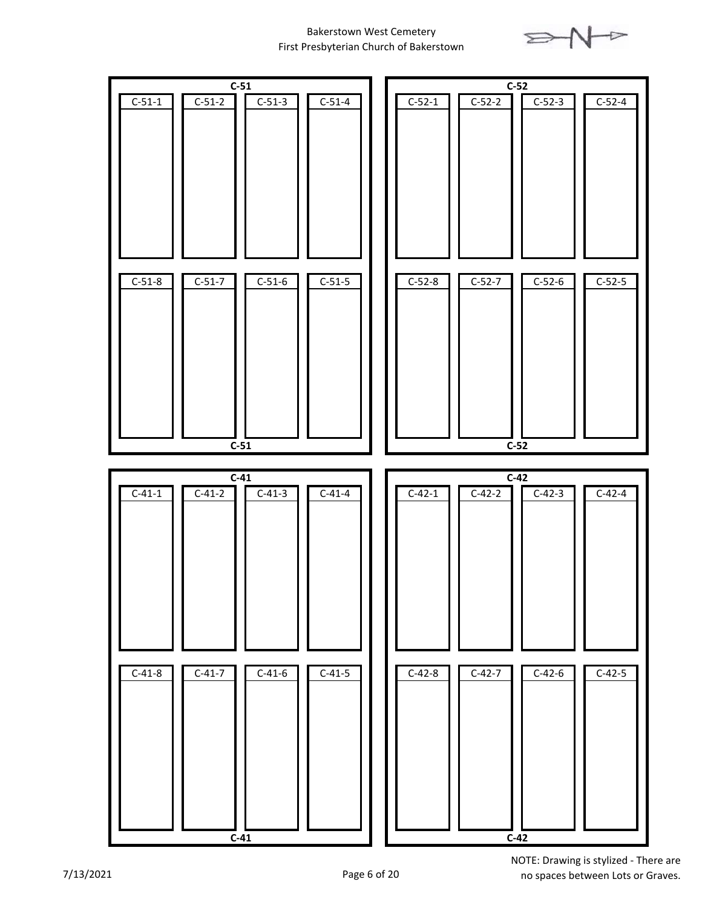

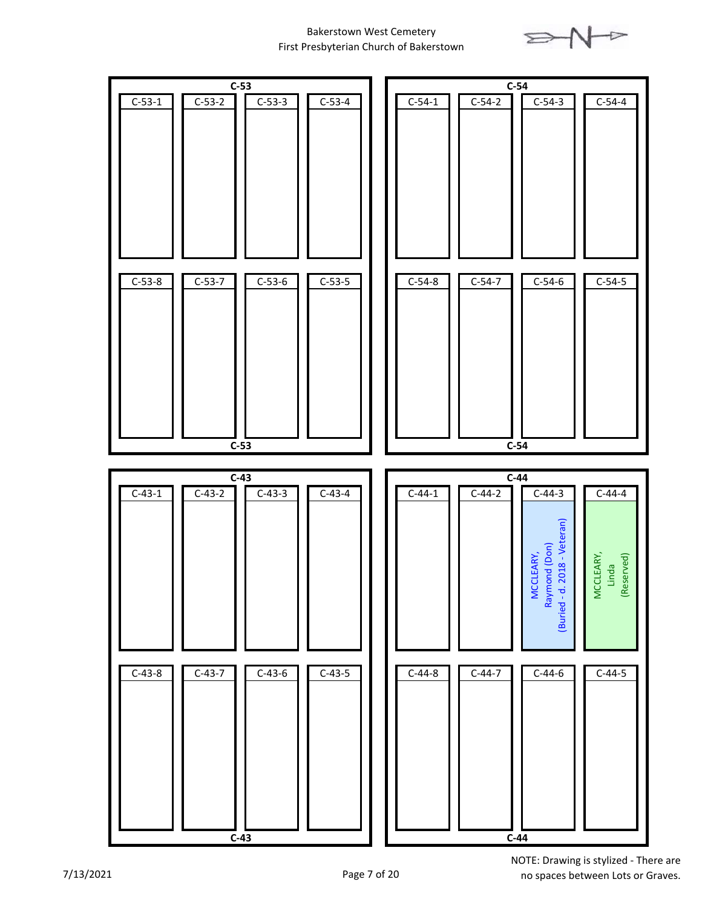

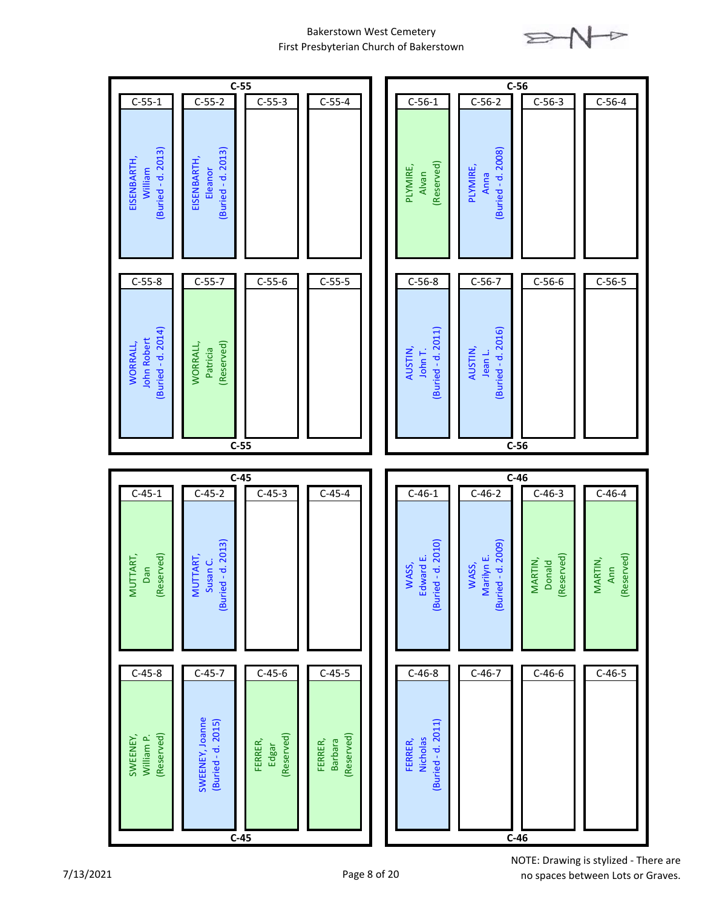



no spaces between Lots or Graves.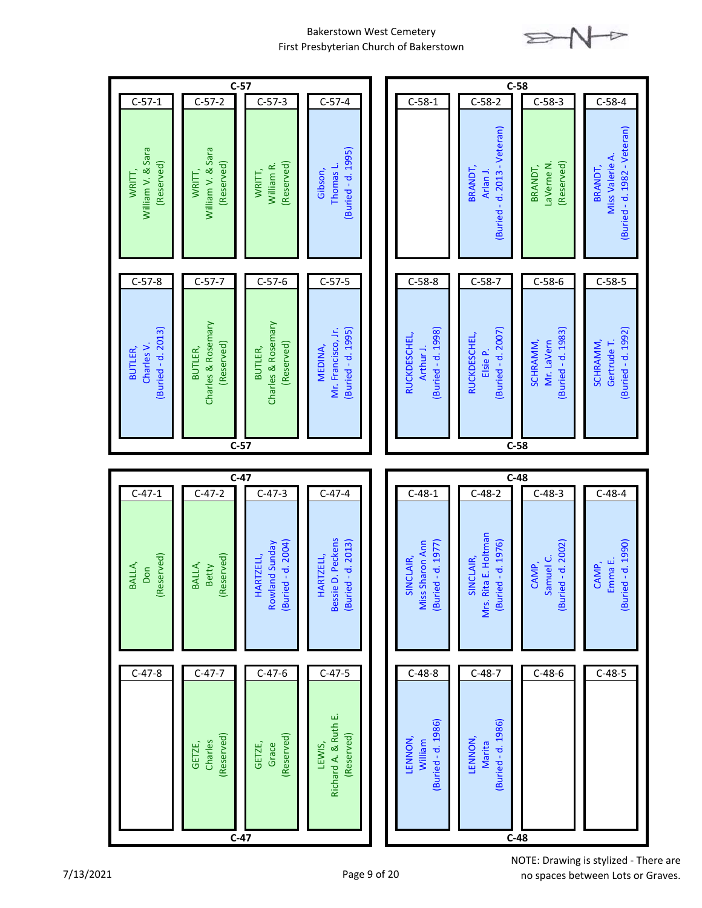

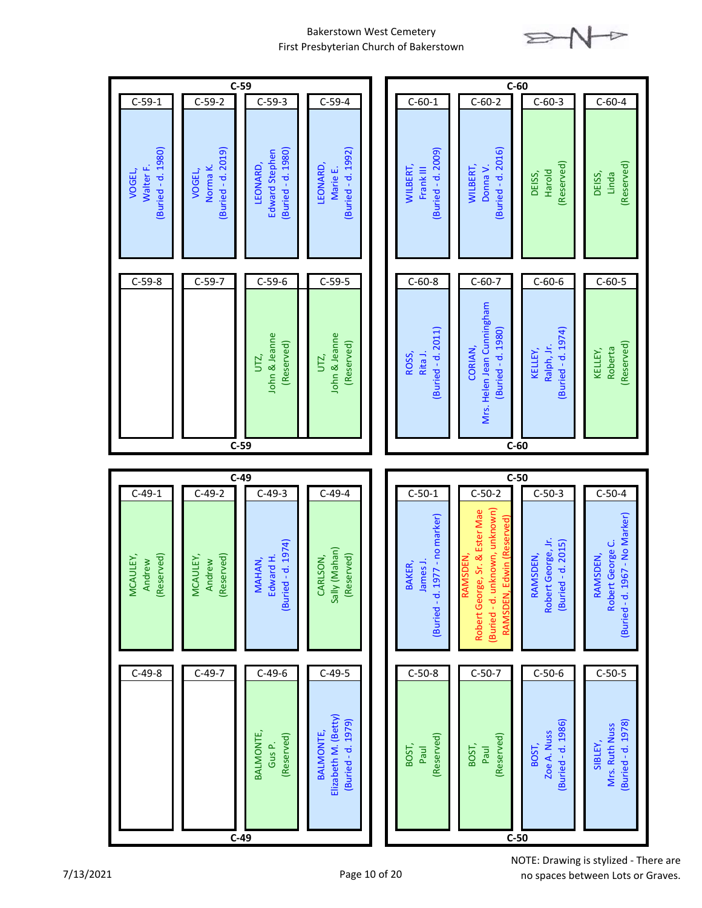

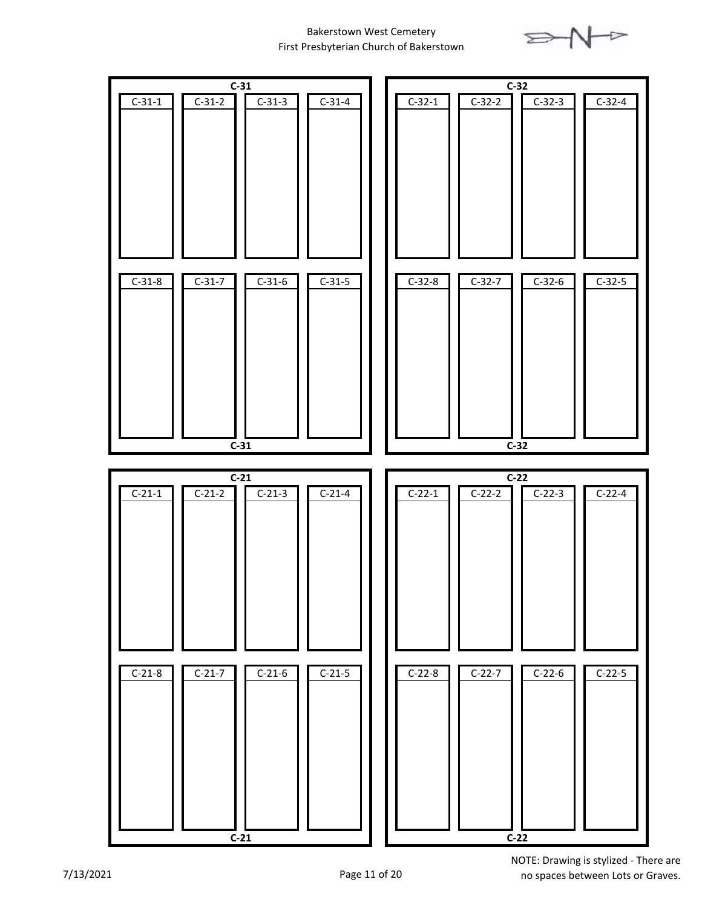

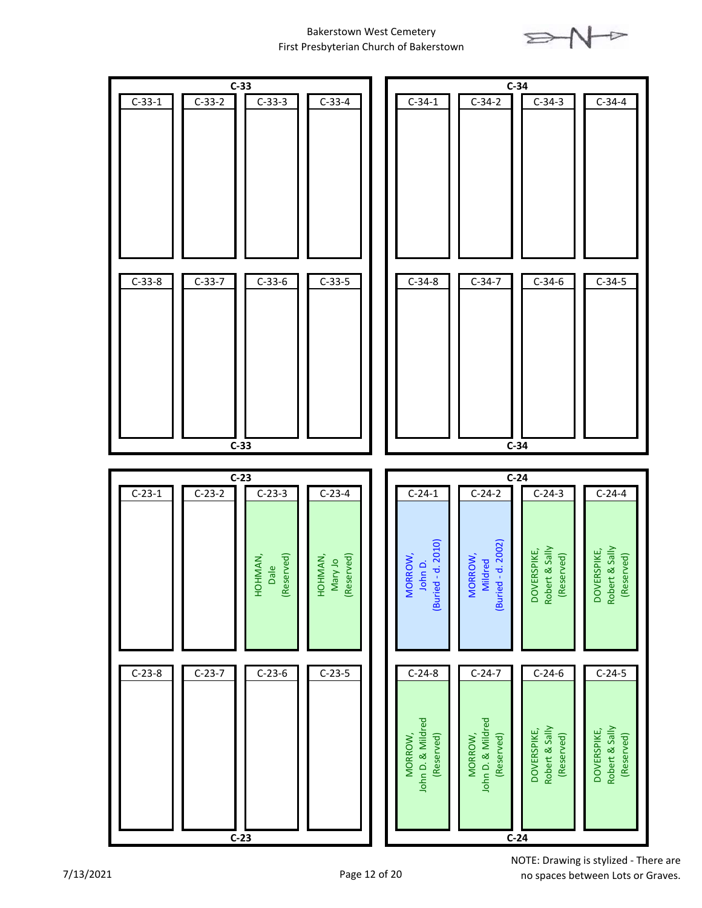

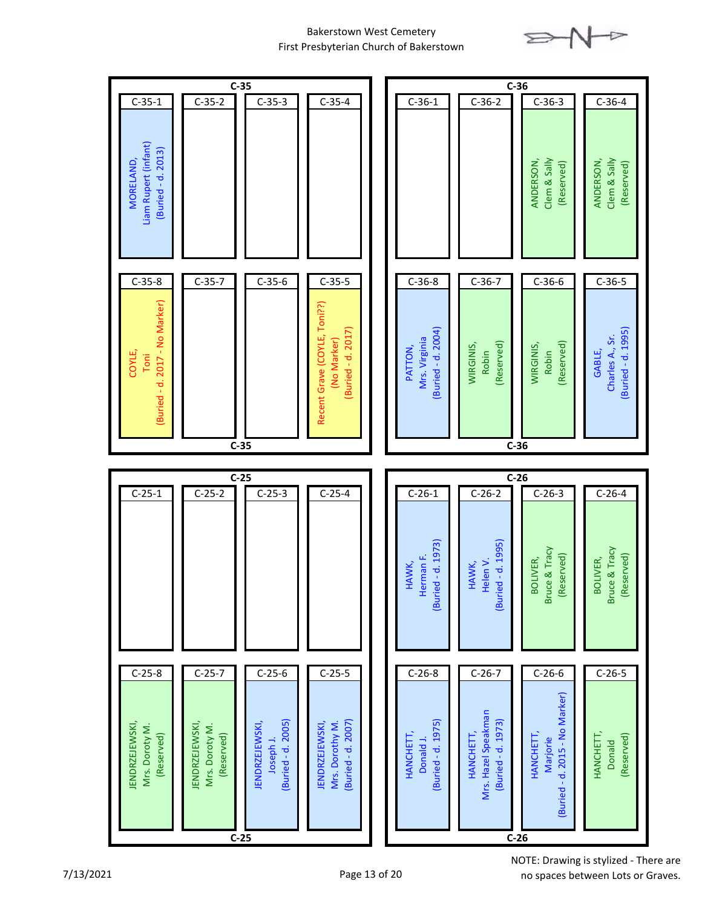

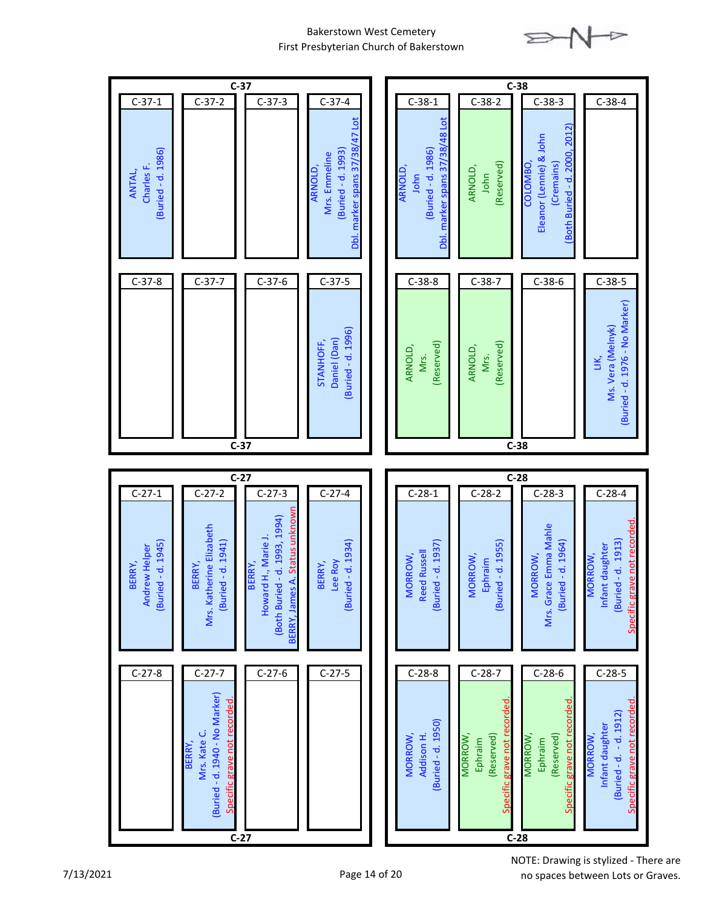

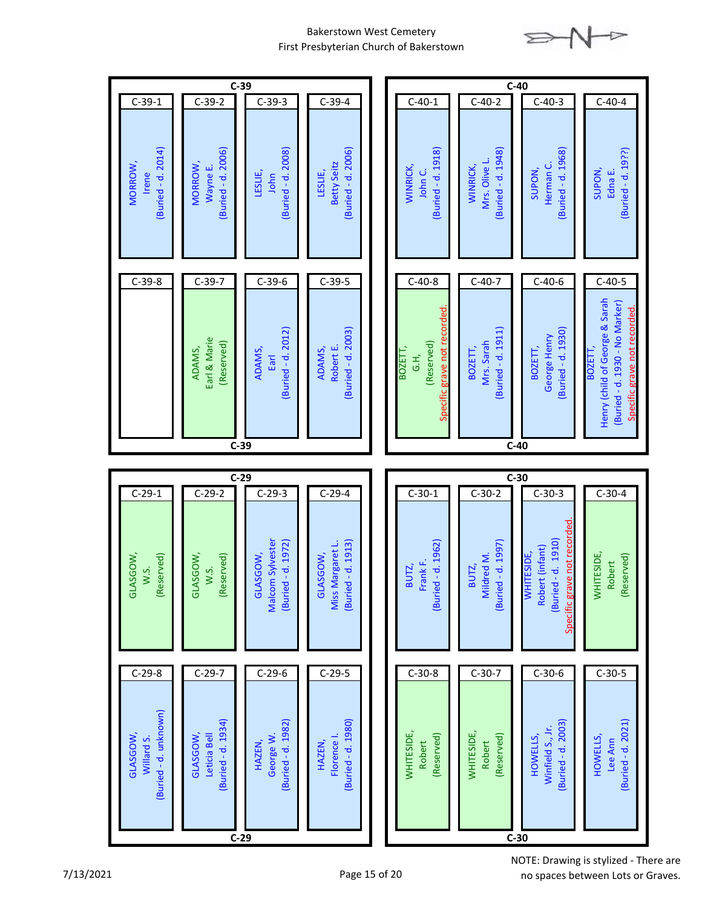

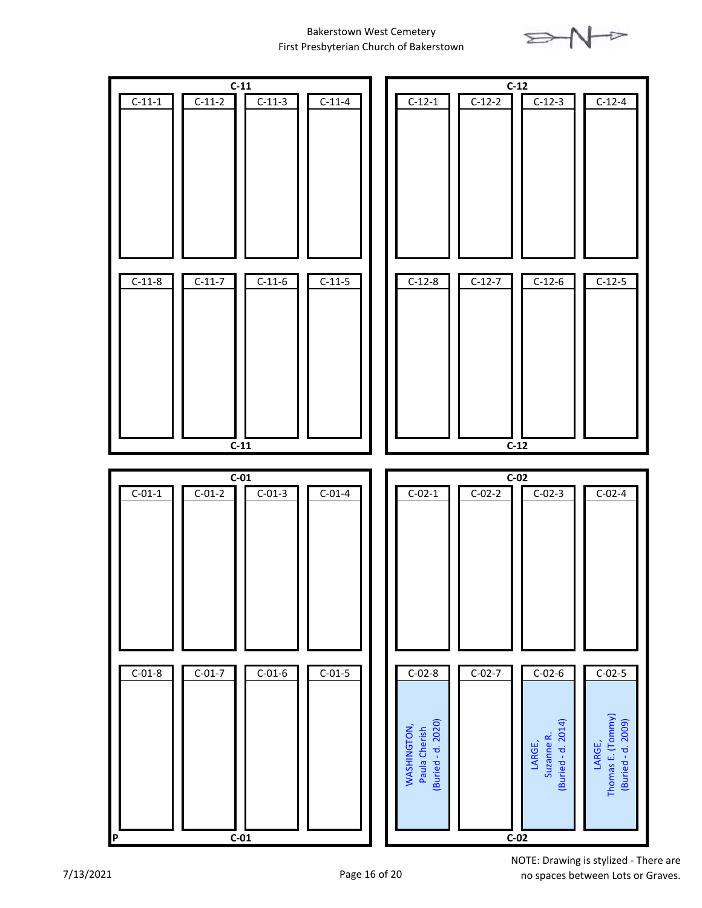

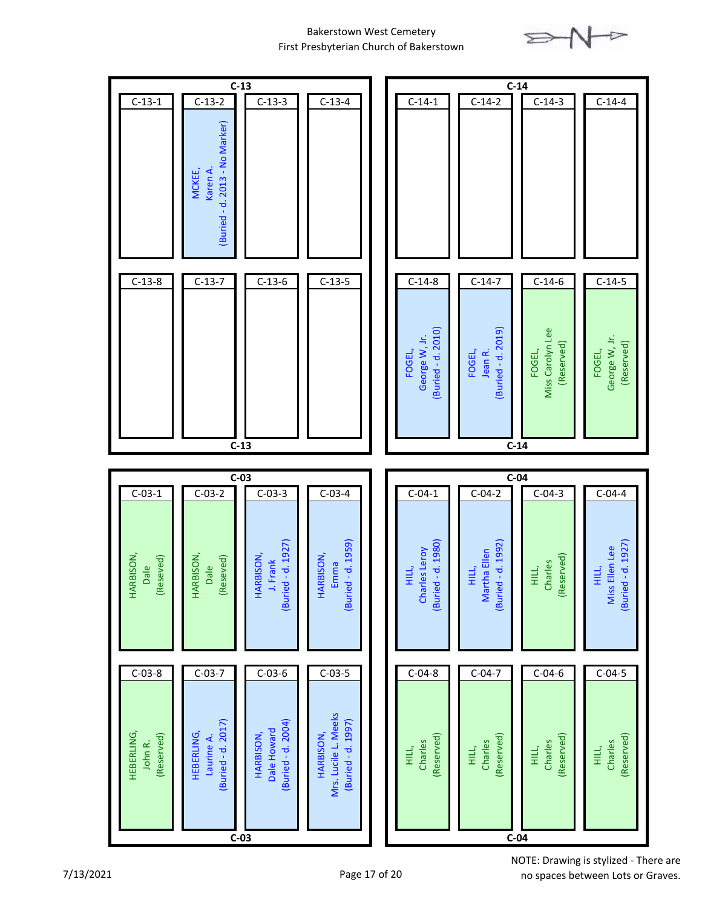

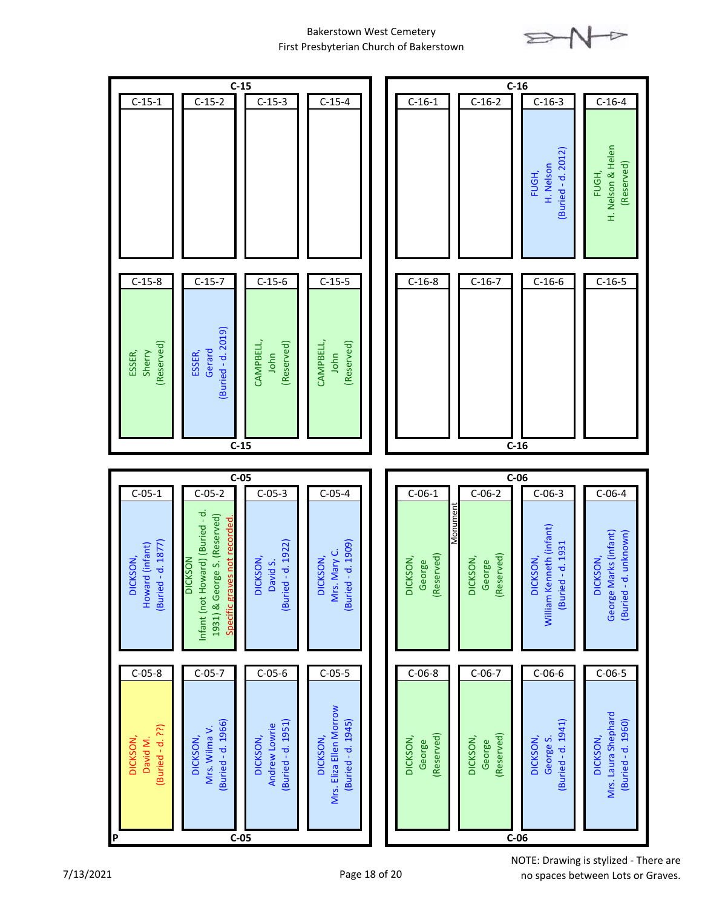

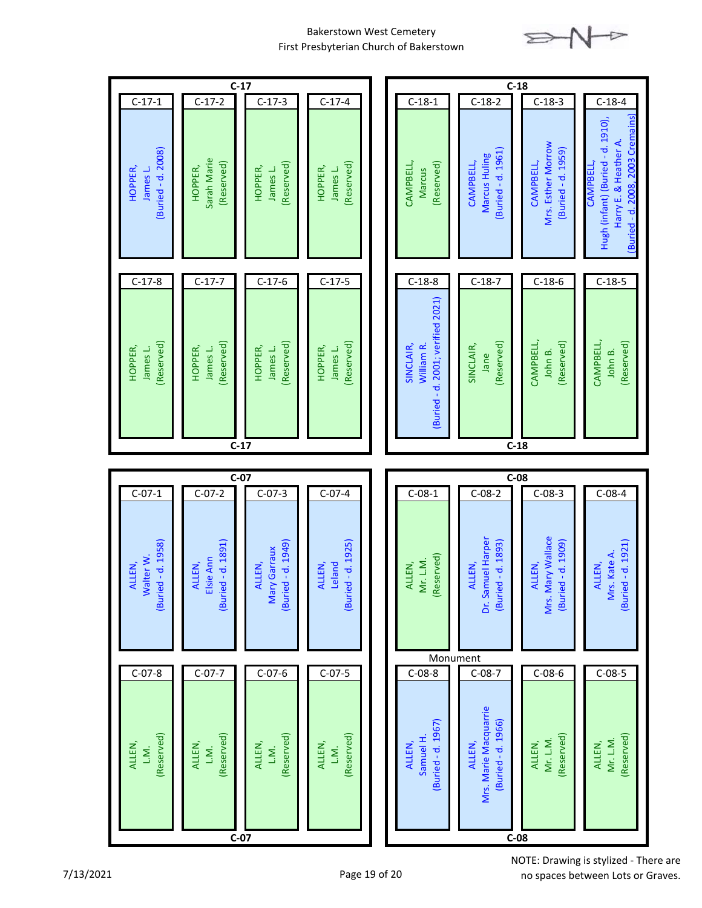

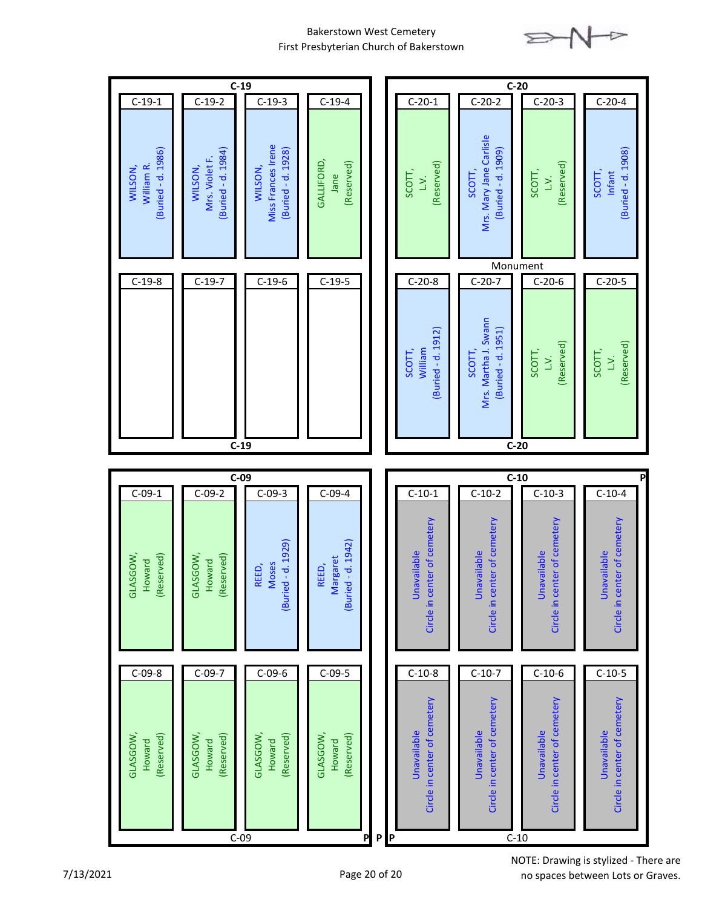

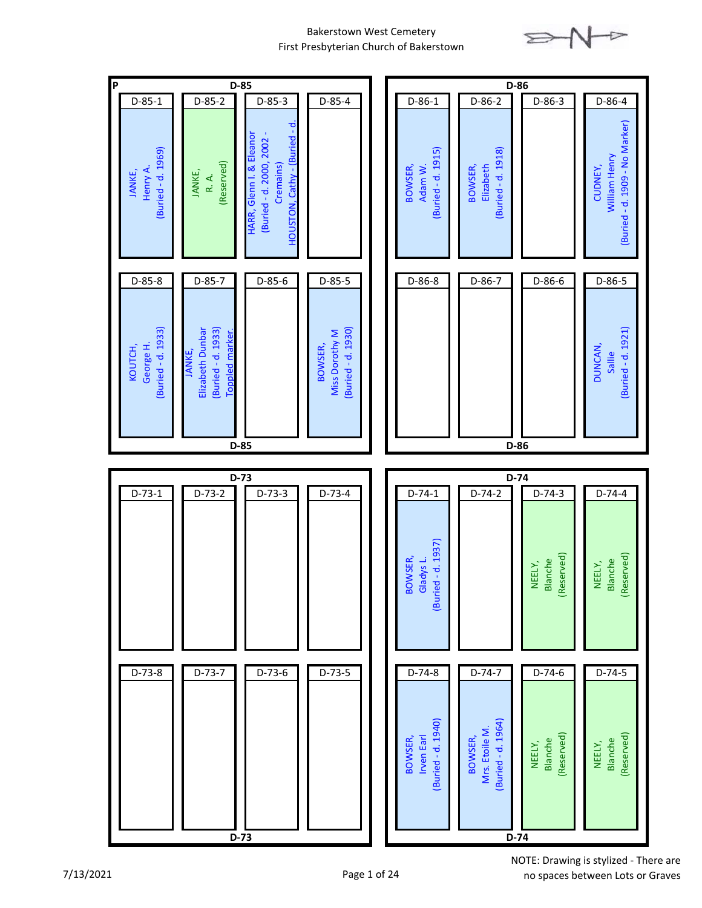

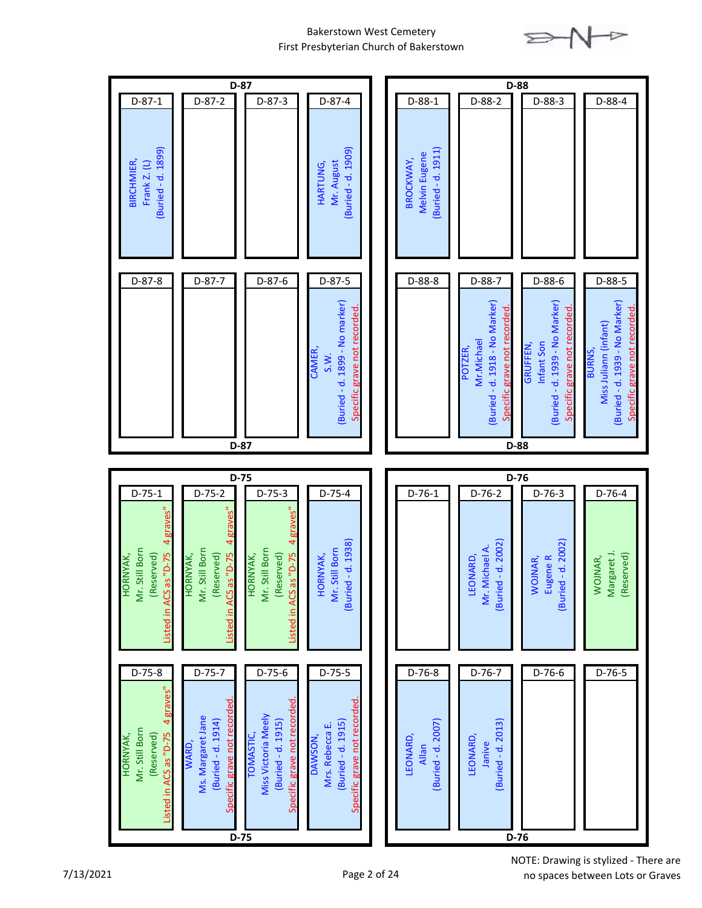

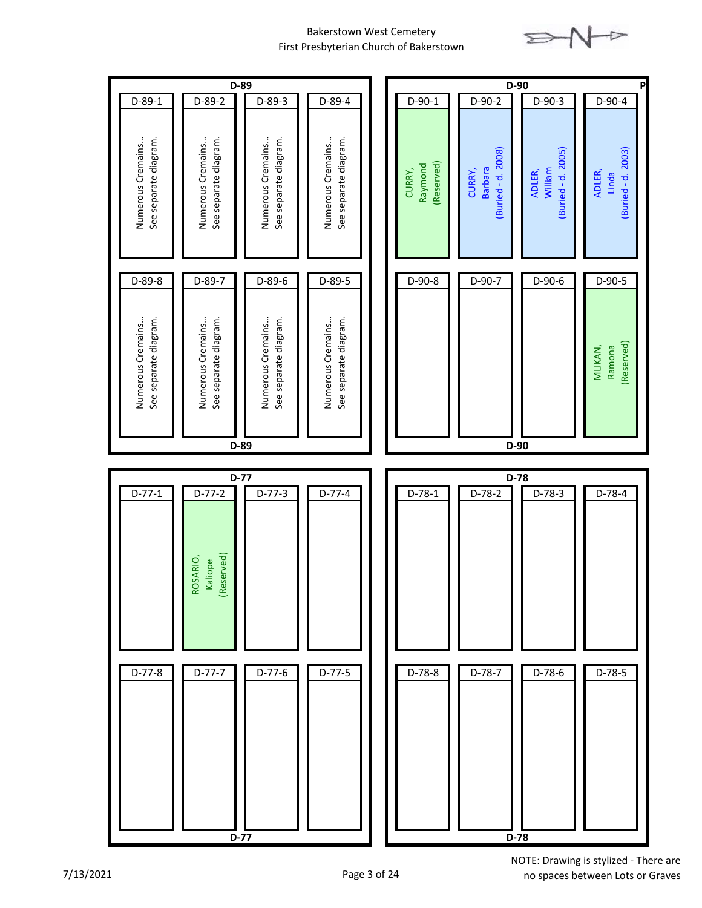

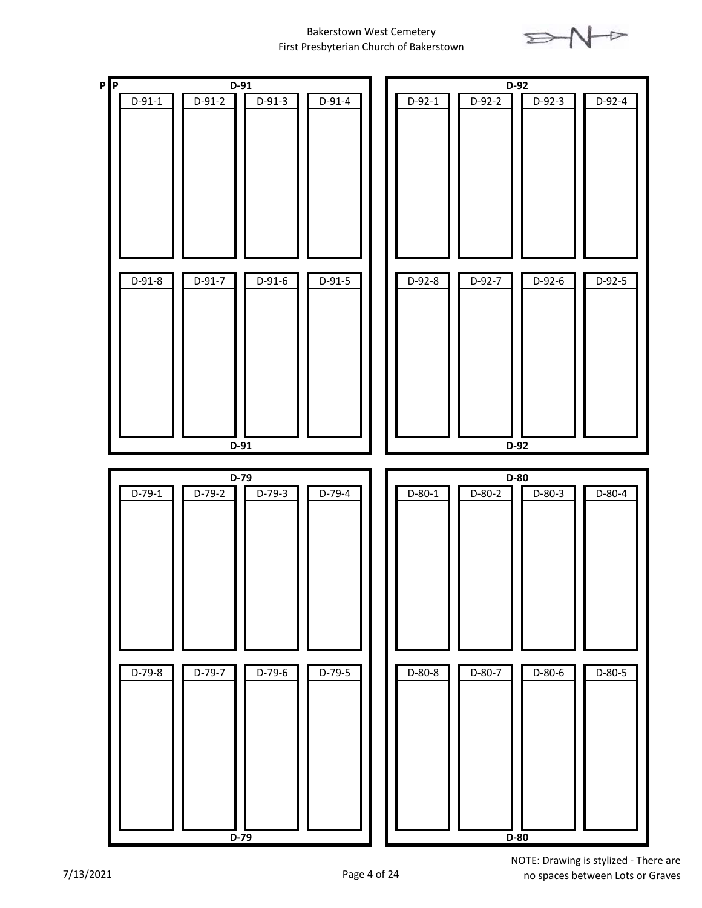

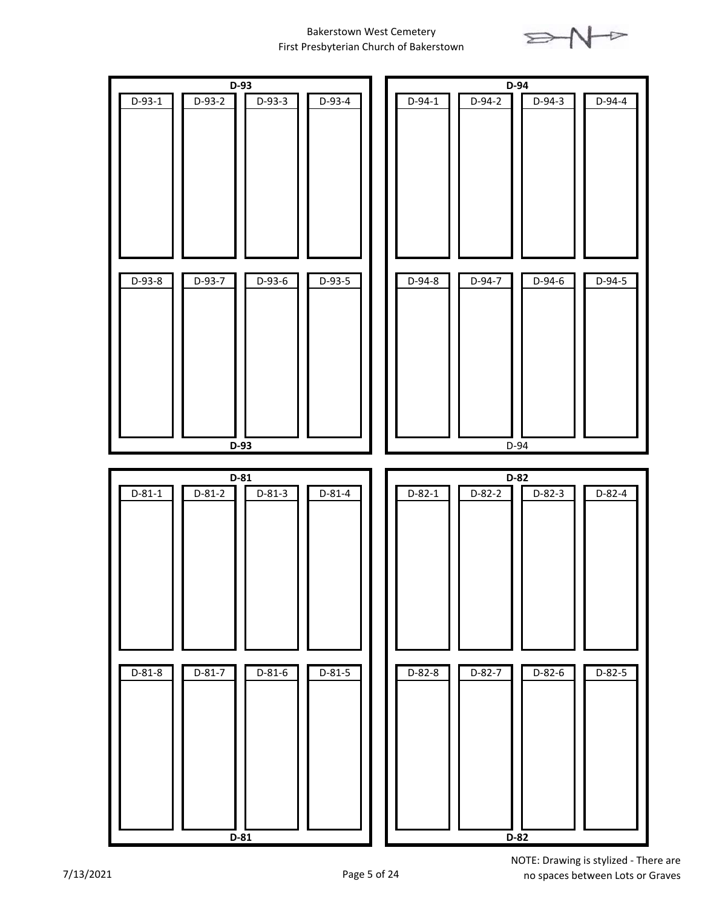

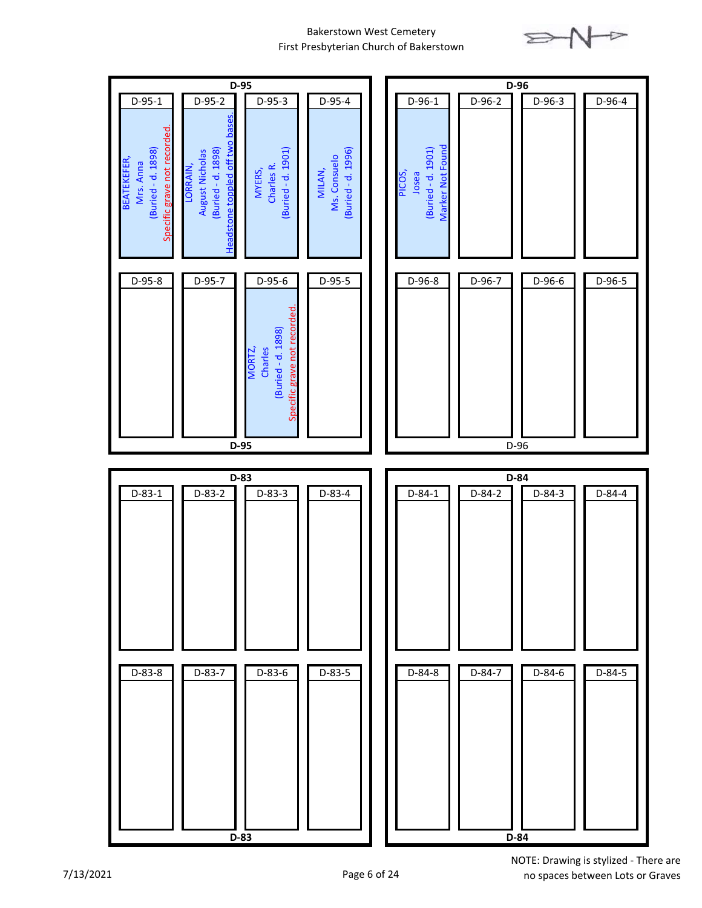

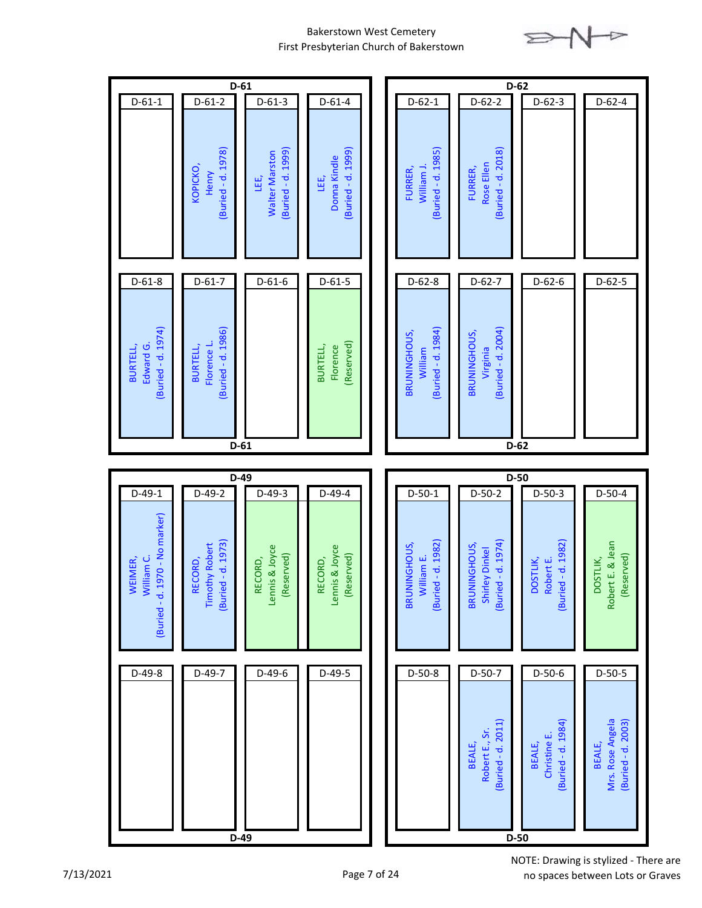

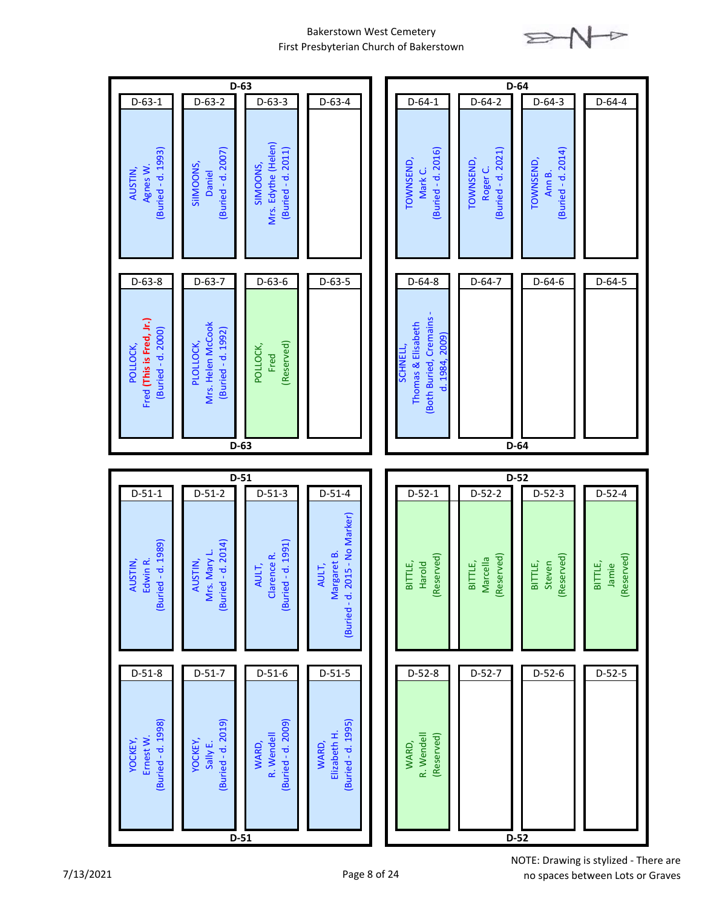

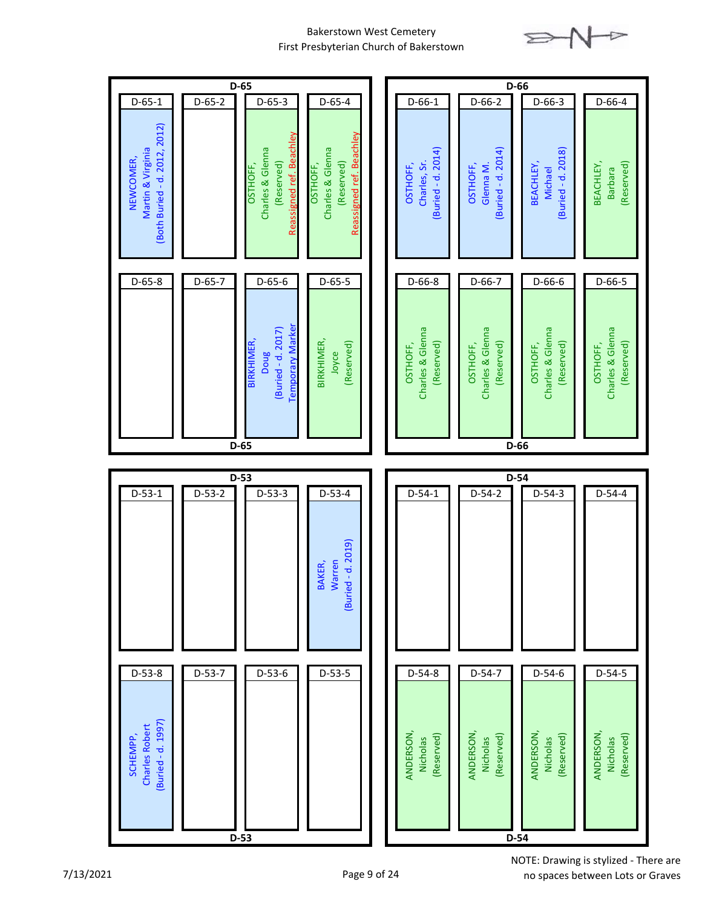

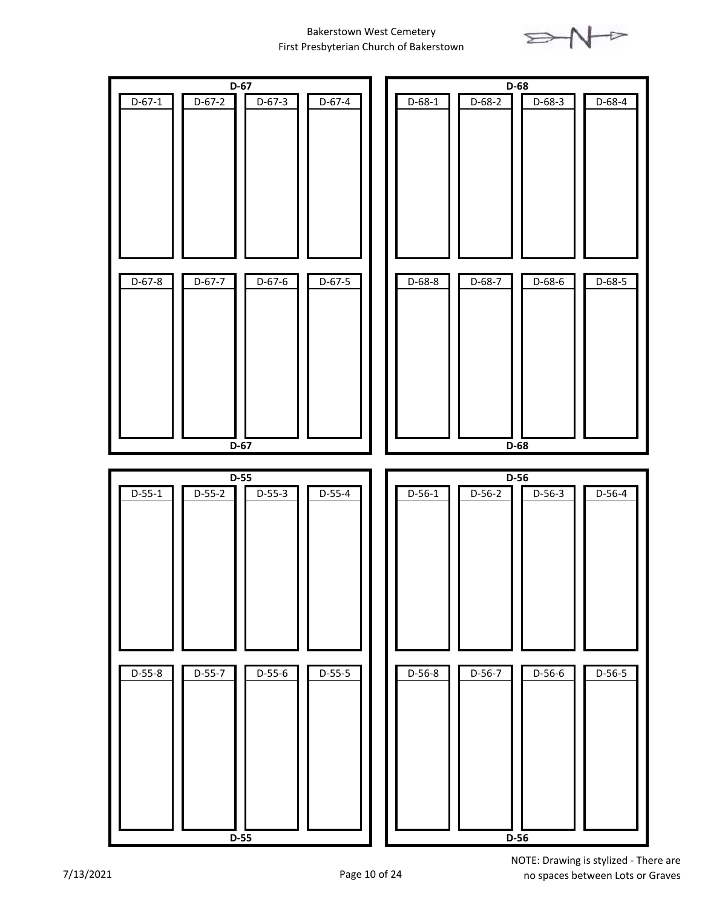

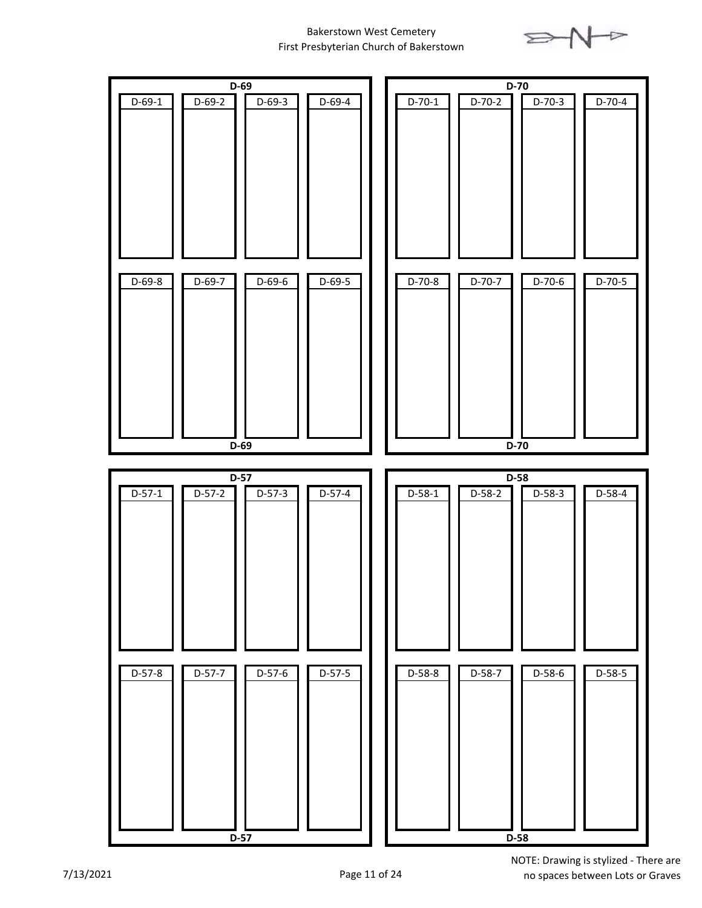

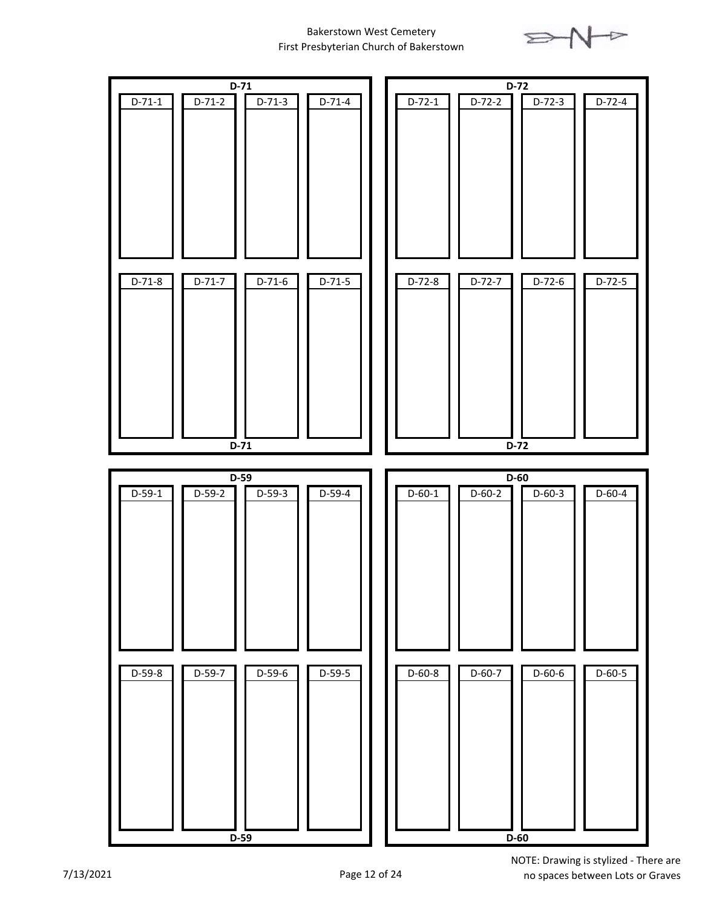

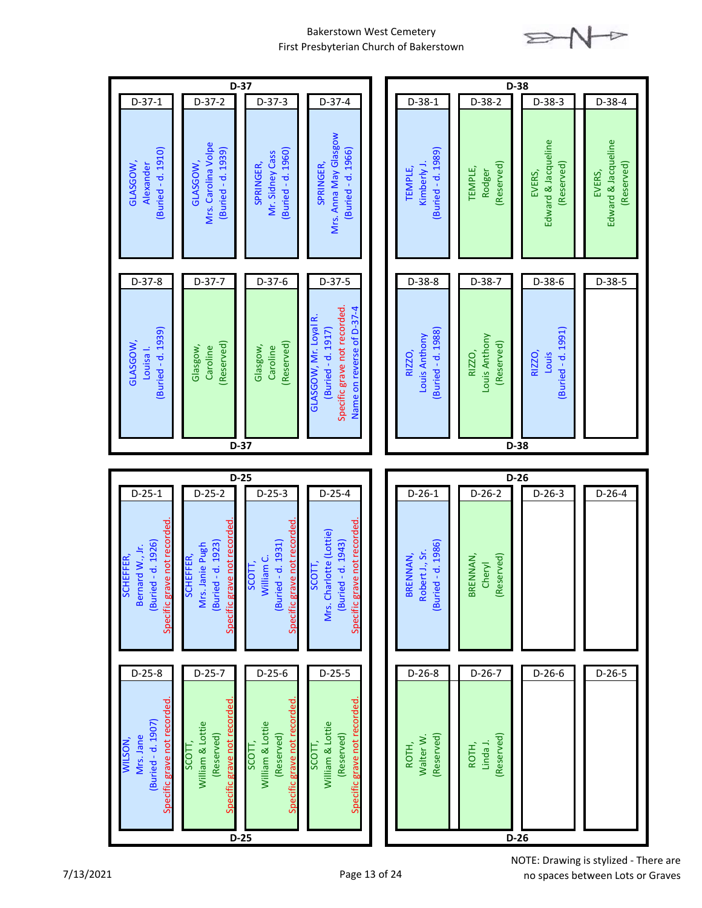

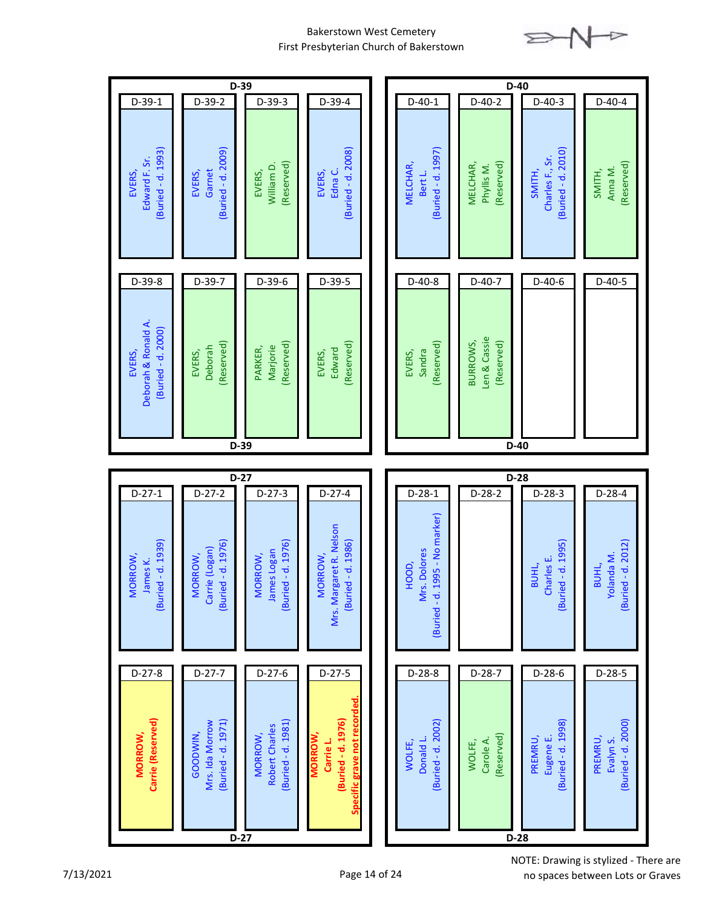

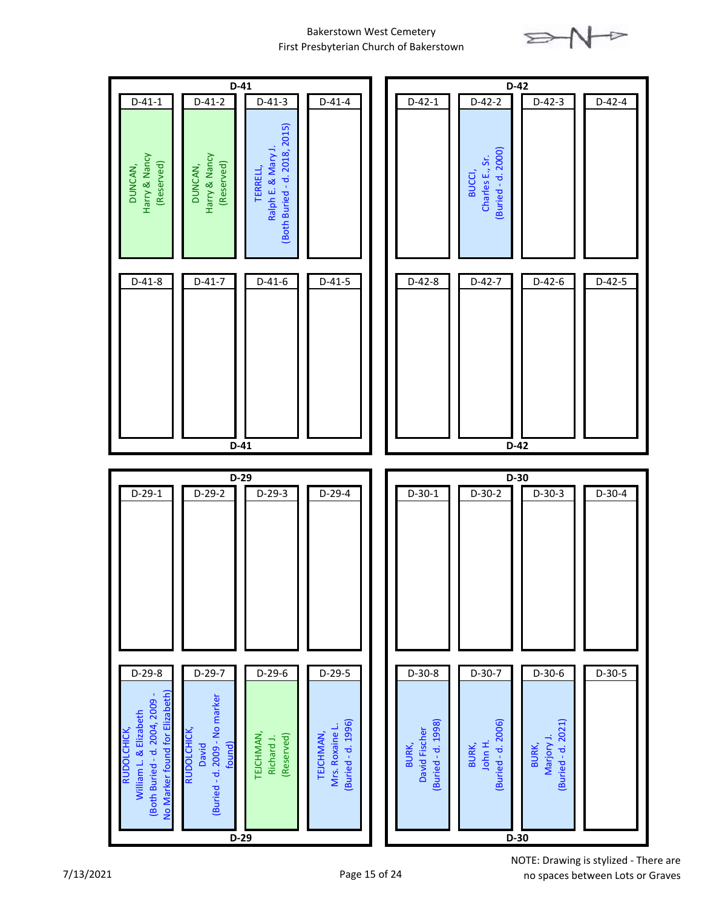

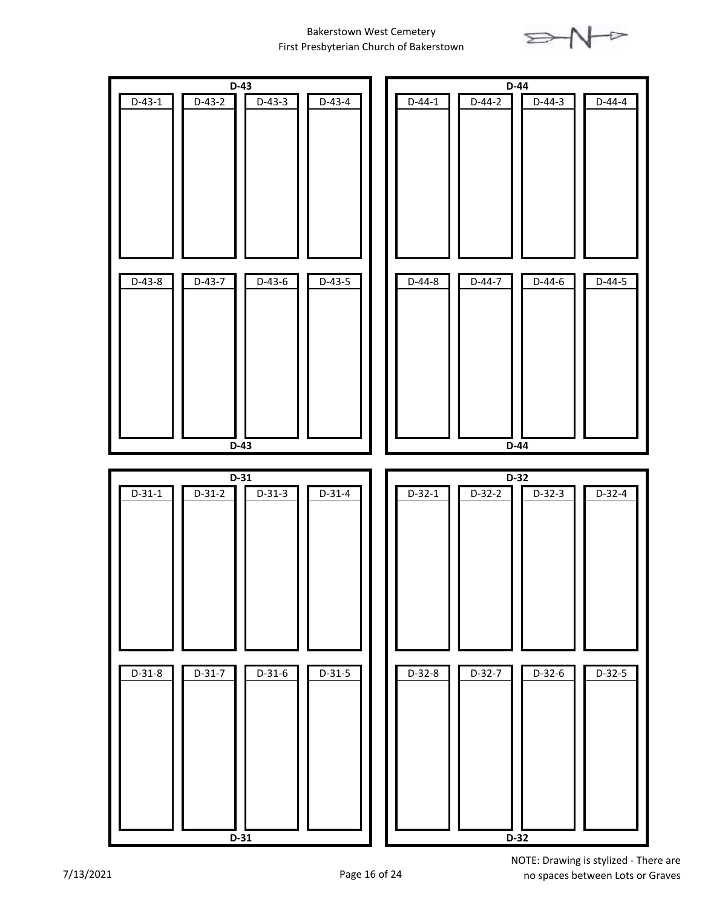

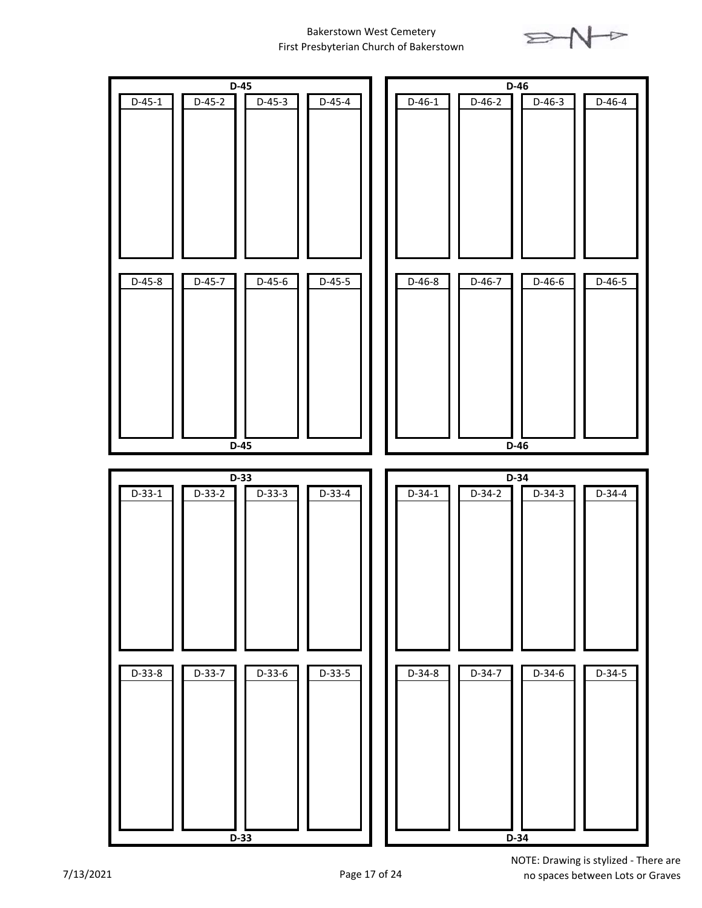

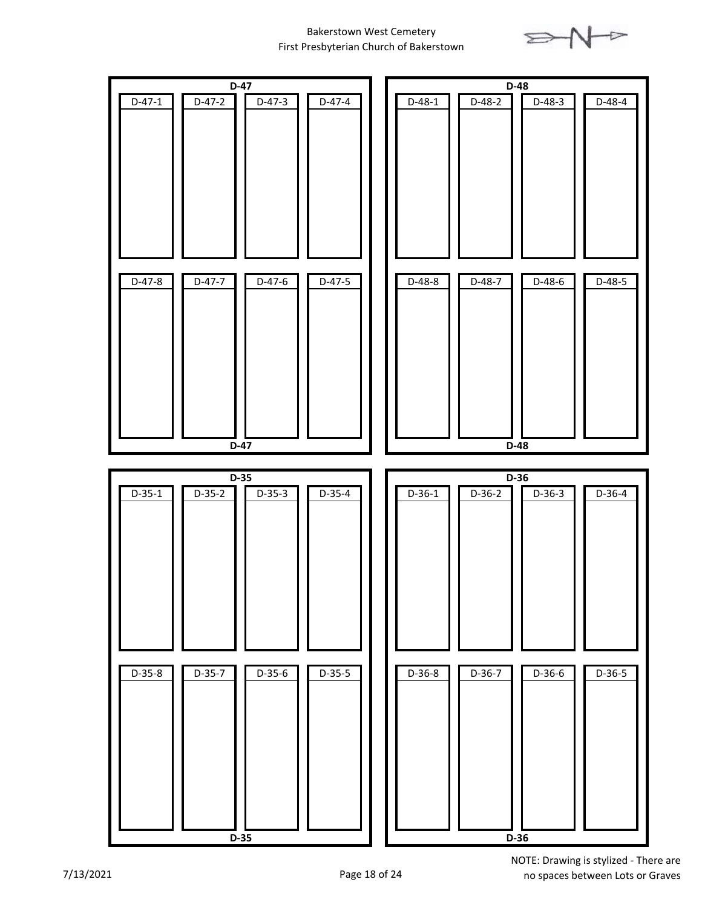

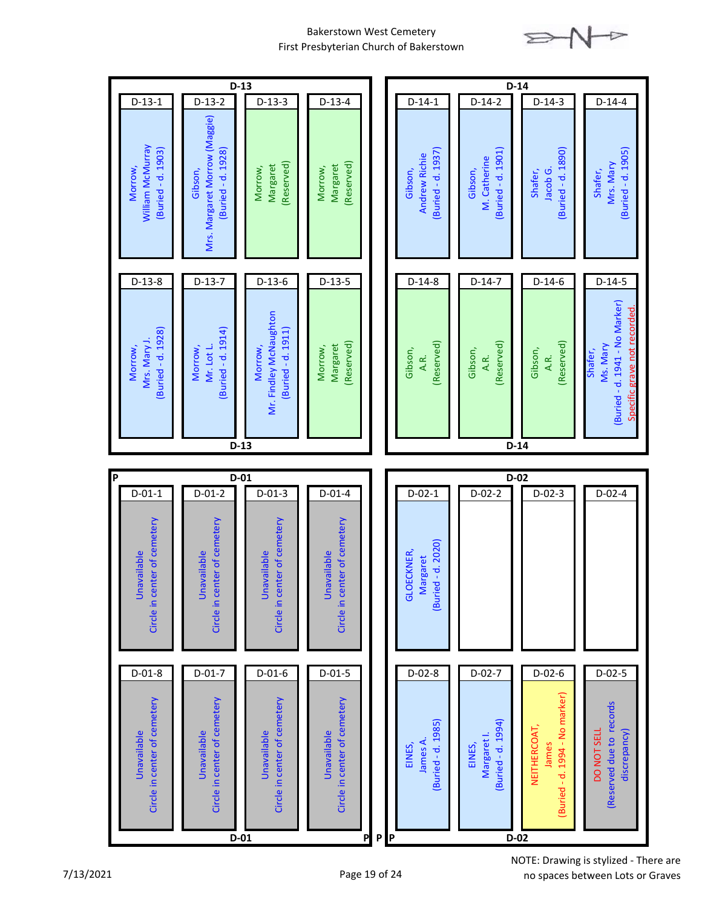

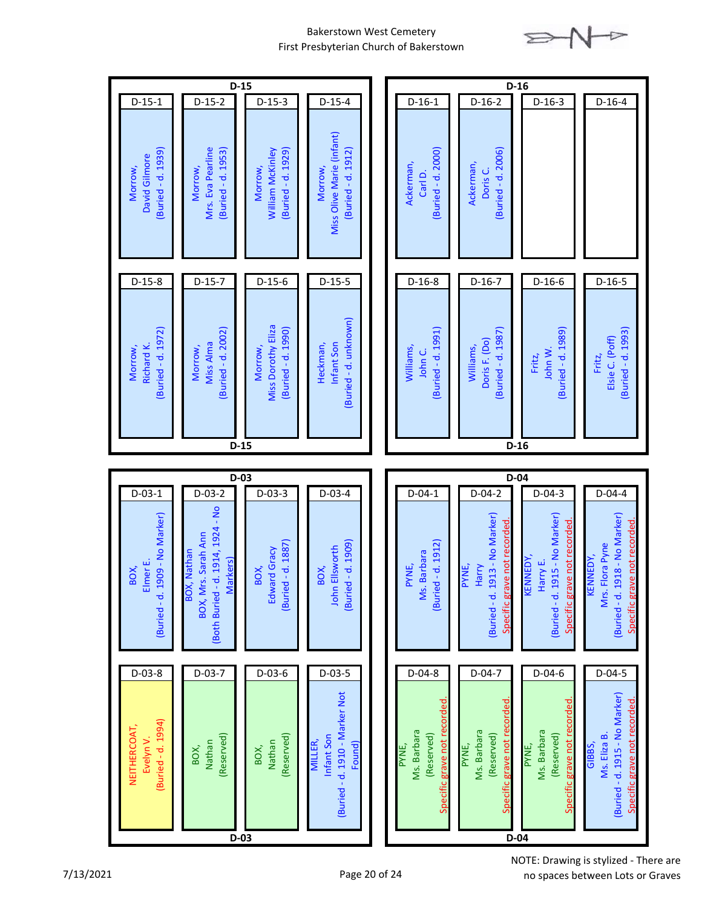

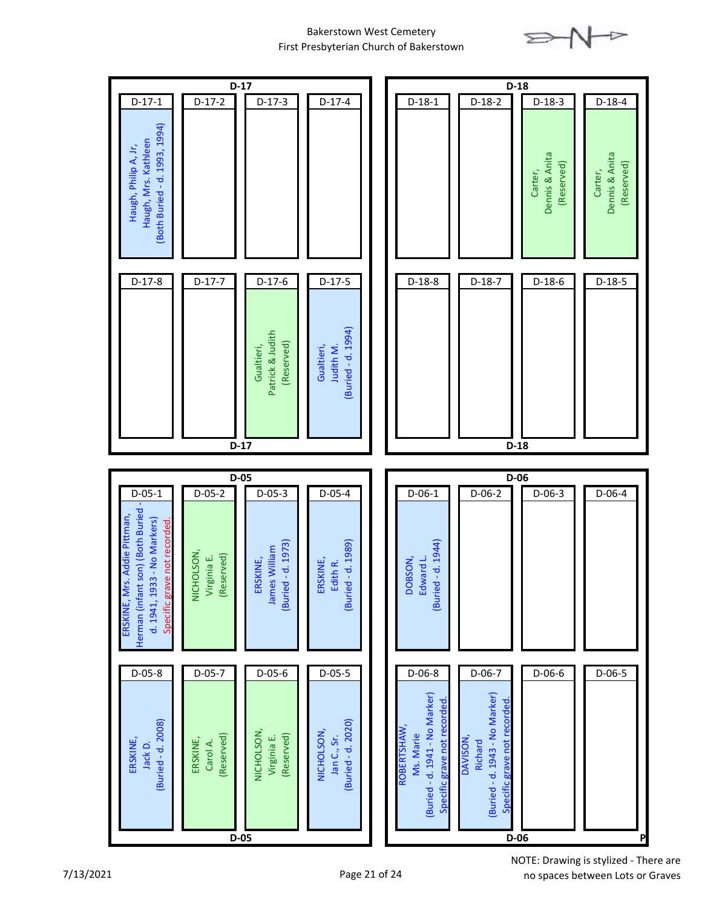

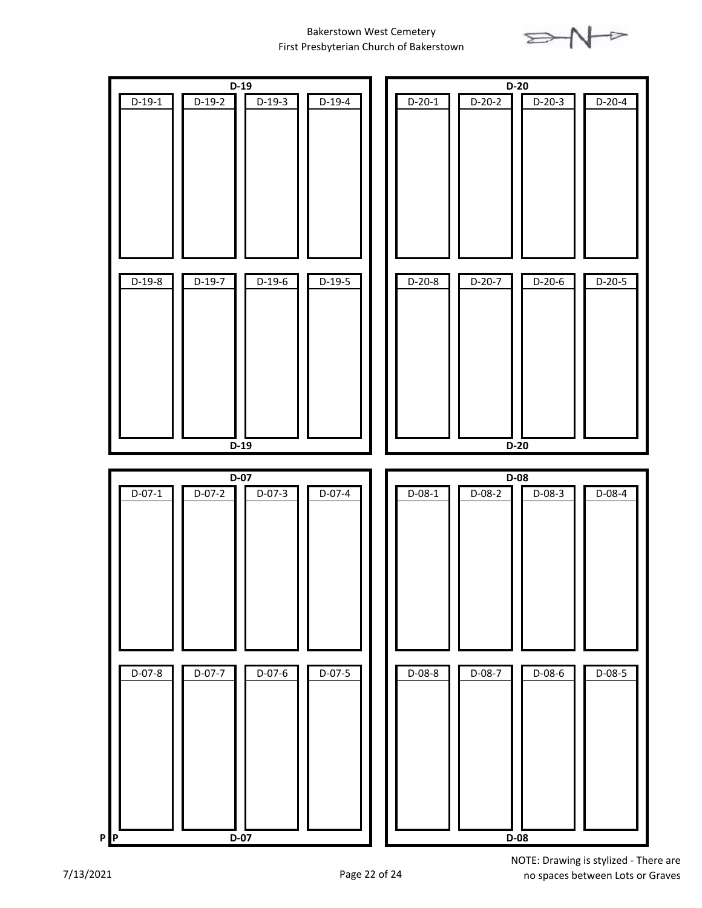

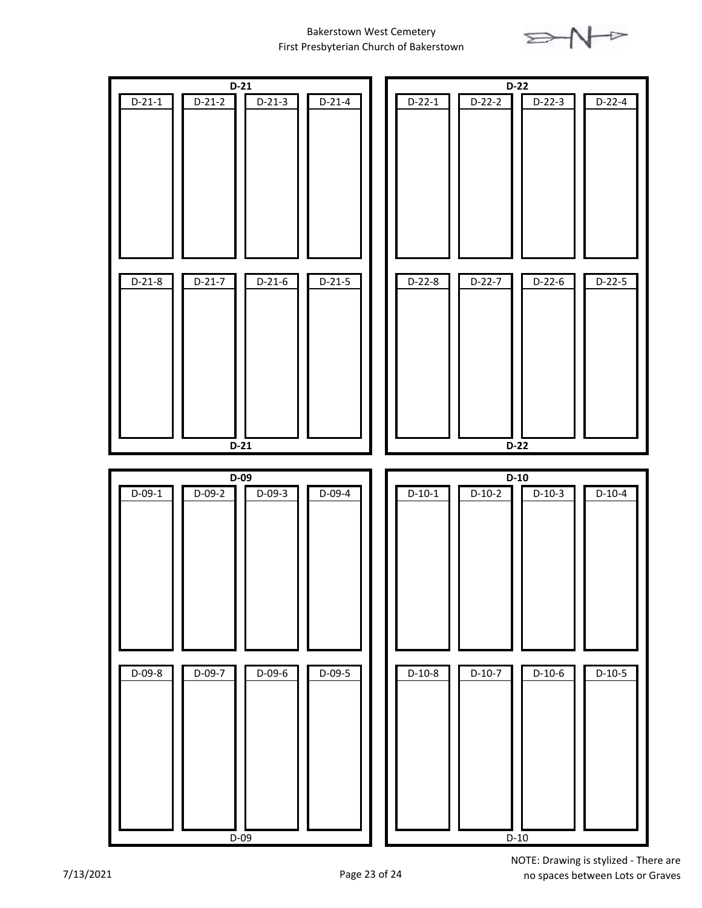

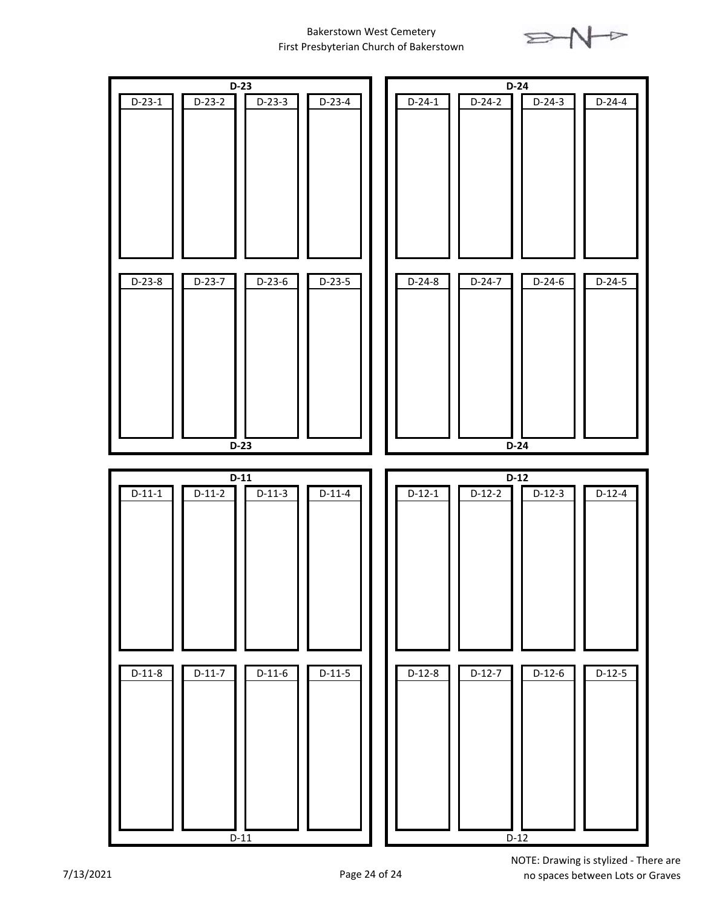

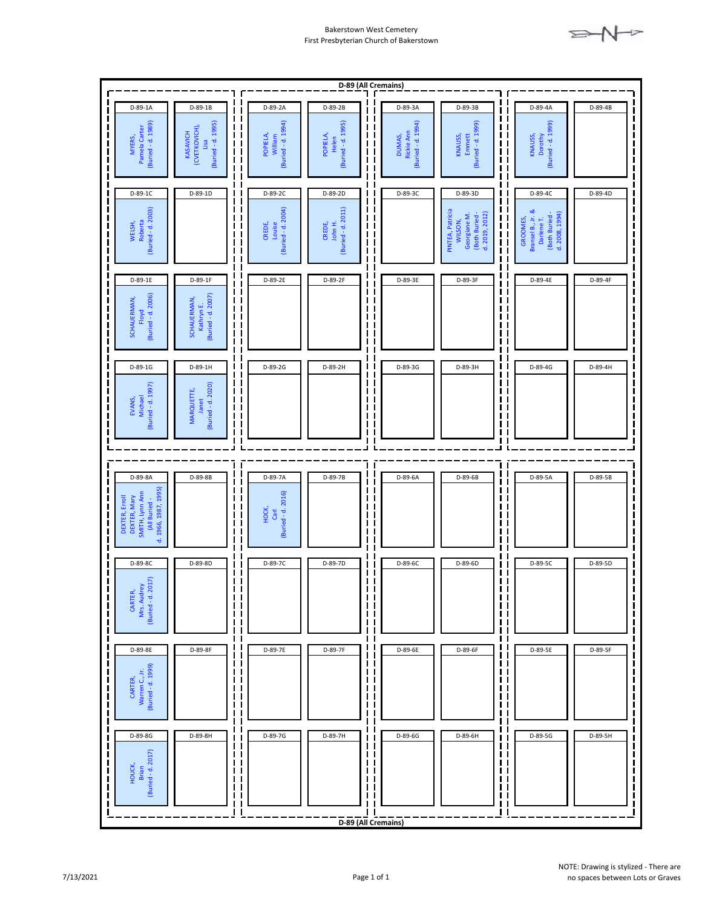

| D-89 (All Cremains)                                                                        |                                                                                                 |                                                                          |                                         |                                                                                                                                                          |                                                                                                                                |                                                                                                                                                                                         |         |
|--------------------------------------------------------------------------------------------|-------------------------------------------------------------------------------------------------|--------------------------------------------------------------------------|-----------------------------------------|----------------------------------------------------------------------------------------------------------------------------------------------------------|--------------------------------------------------------------------------------------------------------------------------------|-----------------------------------------------------------------------------------------------------------------------------------------------------------------------------------------|---------|
| D-89-1A                                                                                    | $D-89-1B$                                                                                       | D-89-2A                                                                  | D-89-2B                                 | D-89-3A                                                                                                                                                  | D-89-3B                                                                                                                        | D-89-4A                                                                                                                                                                                 | D-89-4B |
| (Buried - d. 1989)<br>Pamela Carter<br>MYERS,                                              | (Buried - d. 1995)<br>(CVETKOVICH),<br>$\blacksquare$<br><b>KASAVICH</b><br>Lisa<br>П           | L<br>(Buried - d. 1994)<br>П<br>POPIELA,<br>William<br>I.<br>п<br>П<br>П | (Buried - d. 1995)<br>POPIELA,<br>Helen | $\blacksquare$<br>(Buried - d. 1994)<br>$\blacksquare$<br>ı<br>Rickie Ann<br>П<br>ı<br>DUMAS,<br>П<br>I<br>$\blacksquare$<br>ı<br>$\mathbf{I}$<br>П<br>П | (Buried - d. 1999)<br>I<br>П<br>KNAUSS,<br>Emmett<br>$\mathbf I$<br>$\mathbf I$<br>П<br>П                                      | $\mathbf{I}$<br>(Buried - d. 1999)<br>ı<br>$\overline{\phantom{a}}$<br>KNAUSS,<br>Dorothy<br>П<br>П<br>П                                                                                |         |
| D-89-1C                                                                                    | D-89-1D                                                                                         | D-89-2C                                                                  | D-89-2D                                 | D-89-3C                                                                                                                                                  | D-89-3D                                                                                                                        | D-89-4C                                                                                                                                                                                 | D-89-4D |
| (Buried - d. 2003)<br>Roberta<br>WELSH,                                                    | п<br>П<br>ι<br>п<br>Ш<br>П                                                                      | (Buried - d. 2004)<br>CREDE,<br>Louise<br>L                              | (Buried - d. 2011)<br>John H.<br>CREDE, | $\mathbf{I}$<br>$\blacksquare$<br>П<br>П<br>ı<br>П<br>П<br>$\blacksquare$<br>ı<br>$\mathbf{I}$<br>П<br>П<br>l I                                          | $\mathbf{I}$<br>$\mathbf I$<br>PINTEA, Patricia<br>(Both Buried -<br>d. 2019, 2012)<br>Georgiane M.<br>WILSON,<br>$\mathbf{I}$ | Π<br>$\overline{\phantom{a}}$<br>Bransel B., Jr. &<br>(Both Buried -<br>d. 2008, 1994)<br>$\begin{bmatrix} 1 \\ 1 \end{bmatrix}$<br>Darlene T.<br>GROOMES,<br>ÎΪ<br>Г<br>$\blacksquare$ |         |
| D-89-1E                                                                                    | D-89-1F                                                                                         | D-89-2E<br>$\mathbf I$                                                   | D-89-2F                                 | D-89-3E<br>П                                                                                                                                             | D-89-3F                                                                                                                        | D-89-4E                                                                                                                                                                                 | D-89-4F |
| (Buried - d. 2006)<br>SCHAUERMAN,<br>Floyd                                                 | П<br>Kathryn E.<br>(Buried - d. 2007)<br>SCHAUERMAN,<br>$\blacksquare$<br>П                     | П<br>$\mathbf{I}$<br>I.<br>П<br>П<br>П<br>П                              |                                         | I<br>П<br>П<br>П<br>П<br>Π<br>П<br>П<br>П<br>П                                                                                                           | $\mathbf{I}$<br>П<br>$\blacksquare$<br>I<br>$\mathbf l$<br>П<br>I,<br>$\mathbf{I}$                                             | П<br>П<br>П<br>$\blacksquare$<br>П<br>$\overline{\phantom{a}}$                                                                                                                          |         |
| D-89-1G                                                                                    | D-89-1H<br>$\blacksquare$                                                                       | D-89-2G                                                                  | D-89-2H                                 | D-89-3G<br>П<br>п                                                                                                                                        | Ш<br>D-89-3H<br>I                                                                                                              | $\overline{\phantom{a}}$<br>D-89-4G<br>П                                                                                                                                                | D-89-4H |
| (Buried - d. 1997)<br>Michael<br>EVANS,                                                    | (Buried - d. 2020)<br>MARQUETTE,<br>$\blacksquare$<br>Janet<br>$\blacksquare$<br>$\blacksquare$ | П<br>П<br>П<br>ι<br>П<br>$\mathbf{I}$                                    |                                         | $\overline{\phantom{a}}$<br>$\mathbf I$<br>п<br>Π<br>ı<br>П<br>$\mathbf I$<br>$\blacksquare$<br>П<br>$\mathbf{I}$<br>П<br>Π<br>ı                         | П<br>$\mathbf I$<br>$\mathbf I$<br>П<br>$\mathbf I$<br>$\blacksquare$<br>П                                                     | $\overline{\phantom{a}}$<br>П<br>П<br>П<br>$\overline{\phantom{a}}$<br>$\overline{\phantom{a}}$                                                                                         |         |
|                                                                                            |                                                                                                 |                                                                          |                                         |                                                                                                                                                          |                                                                                                                                |                                                                                                                                                                                         |         |
| D-89-8A                                                                                    | D-89-8B<br>$\mathbf I$                                                                          | D-89-7A                                                                  | D-89-7B                                 | I<br>D-89-6A<br>I                                                                                                                                        | D-89-6B<br>$\mathbf I$                                                                                                         | D-89-5A<br>П                                                                                                                                                                            | D-89-5B |
| d. 1966, 1987, 1995)<br>SMITH, Lynn Ann<br>DEXTER, Erroll<br>DEXTER, Mary<br>(All Buried - | П<br>п<br>П<br>$\blacksquare$<br>П                                                              | $\blacksquare$<br>(Buried - d. 2016)<br>HOCK,<br>Garl<br>П               |                                         | $\blacksquare$<br>П<br>$\mathsf{I}$<br>П<br>$\overline{\phantom{a}}$<br>$\blacksquare$<br>П<br>п<br>ı<br>$\blacksquare$                                  | I,<br>$\blacksquare$<br>$\mathbf I$<br>$\mathbf I$<br>П                                                                        | $\mathbf{I}$<br>П<br>П<br>П<br>$\mathbf{I}$                                                                                                                                             |         |
| D-89-8C                                                                                    | D-89-8D<br>ι                                                                                    | D-89-7C                                                                  | D-89-7D                                 | D-89-6C                                                                                                                                                  | D-89-6D                                                                                                                        | D-89-5C<br>ı                                                                                                                                                                            | D-89-5D |
| CARTER,<br>Mrs. Audrey<br>Juried - d. 2017)<br>(Buried - d.                                | ι<br>П                                                                                          | $\mathbf{I}$<br>$\mathbf{I}$<br>$\blacksquare$<br>Ш<br>$\blacksquare$    |                                         | $\blacksquare$<br>$\blacksquare$<br>П<br>Π<br>п<br>Π<br>$\blacksquare$<br>$\blacksquare$<br>П<br>П<br>$\mathbf{I}$                                       | T<br>$\mathbf{I}$<br>H                                                                                                         | $\blacksquare$<br>П<br>ı<br>П                                                                                                                                                           |         |
| D-89-8E                                                                                    | D-89-8F                                                                                         | Ш<br>ш<br>D-89-7E                                                        | D-89-7F                                 | l I<br>D-89-6E                                                                                                                                           | D-89-6F<br>П                                                                                                                   | $\mathbf{I}$<br>D-89-5E<br>ı                                                                                                                                                            | D-89-5F |
| (Buried - d. 1999)<br>Warren C., Jr.<br>CARTER,                                            | ι<br>ι<br>П<br>П                                                                                |                                                                          |                                         | П<br>ı<br>П<br>ı<br>ш<br>П<br>П<br>$\mathbf I$<br>п<br>ı                                                                                                 | П<br>$\mathbf I$<br>Ш<br>П<br>П                                                                                                | $\overline{\phantom{a}}$<br>$\blacksquare$<br>H                                                                                                                                         |         |
| D-89-8G                                                                                    | D-89-8H<br>П                                                                                    | D-89-7G                                                                  | D-89-7H                                 | $\overline{\phantom{a}}$<br>D-89-6G<br>ı                                                                                                                 | D-89-6H                                                                                                                        | ı<br>D-89-5G<br>$\blacksquare$                                                                                                                                                          | D-89-5H |
| (Buried - d. 2017)<br>HOUCK,<br>Brian                                                      | П<br>ι<br>П<br>П                                                                                | Ш                                                                        |                                         | П<br>П<br>п<br>ı<br>П<br>П<br>ı<br>П<br>$\blacksquare$<br>$\blacksquare$<br>I<br>$\mathsf{I}$<br>$\mathbf I$                                             | П<br>$\mathbf I$<br>П<br>П<br>$\mathbf I$<br>$\mathbf I$                                                                       | П<br>Π<br>$\mathbf{I}$<br>H<br>$\overline{\phantom{a}}$                                                                                                                                 |         |
|                                                                                            |                                                                                                 |                                                                          |                                         |                                                                                                                                                          |                                                                                                                                |                                                                                                                                                                                         |         |
| D-89 (All Cremains)                                                                        |                                                                                                 |                                                                          |                                         |                                                                                                                                                          |                                                                                                                                |                                                                                                                                                                                         |         |